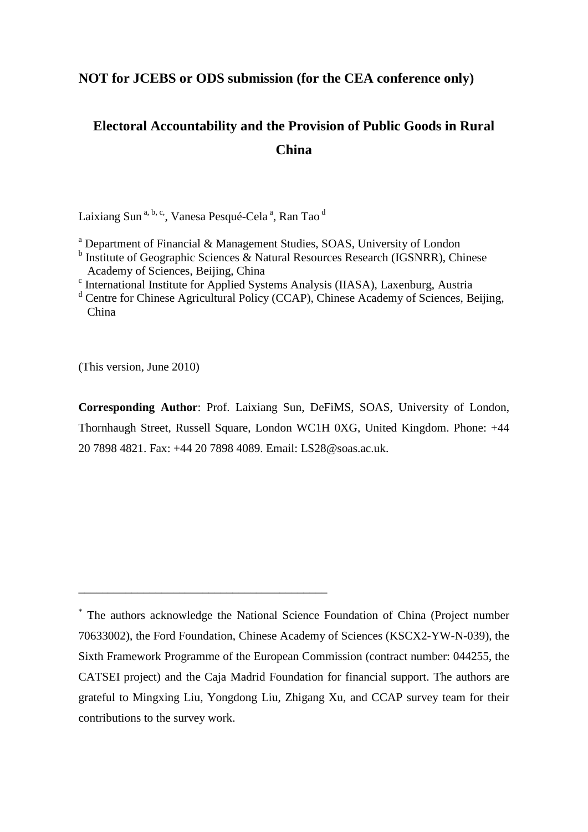## **NOT for JCEBS or ODS submission (for the CEA conference only)**

# **Electoral Accountability and the Provision of Public Goods in Rural China**

Laixiang Sun <sup>a, b, c,</sup>, Vanesa Pesqué-Cela <sup>a</sup>, Ran Tao <sup>d</sup>

\_\_\_\_\_\_\_\_\_\_\_\_\_\_\_\_\_\_\_\_\_\_\_\_\_\_\_\_\_\_\_\_\_\_\_\_\_\_\_\_\_\_

- <sup>a</sup> Department of Financial & Management Studies, SOAS, University of London
- <sup>b</sup> Institute of Geographic Sciences & Natural Resources Research (IGSNRR), Chinese Academy of Sciences, Beijing, China<br><sup>c</sup> International Institute for Applied Systems Analysis (IIASA), Laxenburg, Austria
- 
- <sup>d</sup> Centre for Chinese Agricultural Policy (CCAP), Chinese Academy of Sciences, Beijing, China

(This version, June 2010)

**Corresponding Author**: Prof. Laixiang Sun, DeFiMS, SOAS, University of London, Thornhaugh Street, Russell Square, London WC1H 0XG, United Kingdom. Phone: +44 20 7898 4821. Fax: +44 20 7898 4089. Email: LS28@soas.ac.uk.

<sup>\*</sup> The authors acknowledge the National Science Foundation of China (Project number 70633002), the Ford Foundation, Chinese Academy of Sciences (KSCX2-YW-N-039), the Sixth Framework Programme of the European Commission (contract number: 044255, the CATSEI project) and the Caja Madrid Foundation for financial support. The authors are grateful to Mingxing Liu, Yongdong Liu, Zhigang Xu, and CCAP survey team for their contributions to the survey work.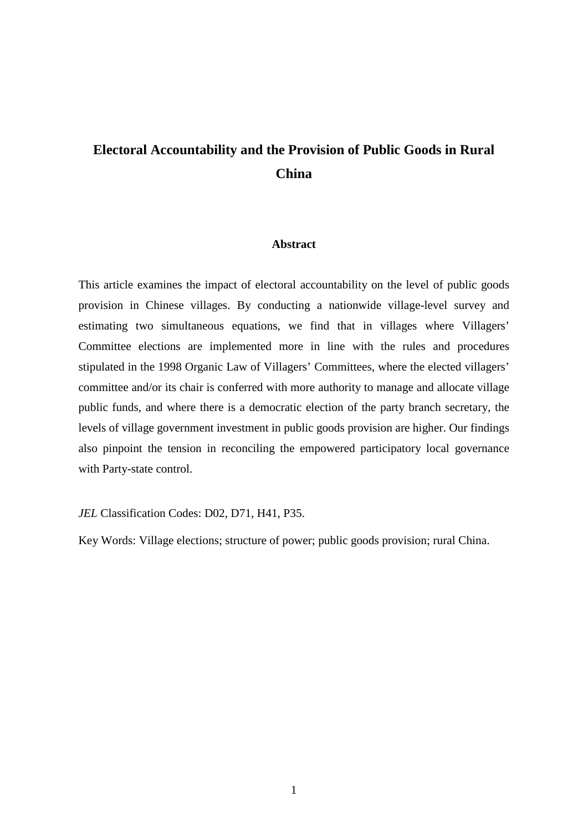# **Electoral Accountability and the Provision of Public Goods in Rural China**

## **Abstract**

This article examines the impact of electoral accountability on the level of public goods provision in Chinese villages. By conducting a nationwide village-level survey and estimating two simultaneous equations, we find that in villages where Villagers' Committee elections are implemented more in line with the rules and procedures stipulated in the 1998 Organic Law of Villagers' Committees, where the elected villagers' committee and/or its chair is conferred with more authority to manage and allocate village public funds, and where there is a democratic election of the party branch secretary, the levels of village government investment in public goods provision are higher. Our findings also pinpoint the tension in reconciling the empowered participatory local governance with Party-state control.

## *JEL* Classification Codes: D02, D71, H41, P35.

Key Words: Village elections; structure of power; public goods provision; rural China.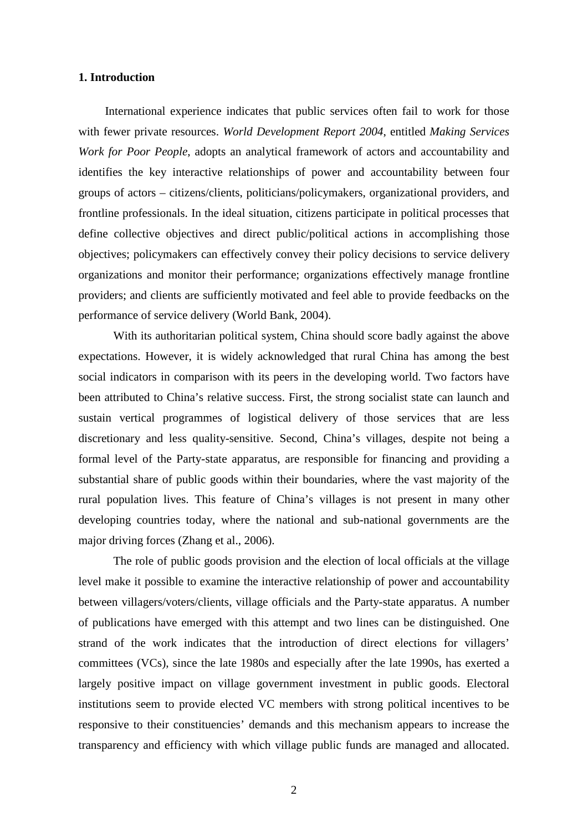### **1. Introduction**

International experience indicates that public services often fail to work for those with fewer private resources. *World Development Report 2004*, entitled *Making Services Work for Poor People*, adopts an analytical framework of actors and accountability and identifies the key interactive relationships of power and accountability between four groups of actors – citizens/clients, politicians/policymakers, organizational providers, and frontline professionals. In the ideal situation, citizens participate in political processes that define collective objectives and direct public/political actions in accomplishing those objectives; policymakers can effectively convey their policy decisions to service delivery organizations and monitor their performance; organizations effectively manage frontline providers; and clients are sufficiently motivated and feel able to provide feedbacks on the performance of service delivery (World Bank, 2004).

With its authoritarian political system, China should score badly against the above expectations. However, it is widely acknowledged that rural China has among the best social indicators in comparison with its peers in the developing world. Two factors have been attributed to China's relative success. First, the strong socialist state can launch and sustain vertical programmes of logistical delivery of those services that are less discretionary and less quality-sensitive. Second, China's villages, despite not being a formal level of the Party-state apparatus, are responsible for financing and providing a substantial share of public goods within their boundaries, where the vast majority of the rural population lives. This feature of China's villages is not present in many other developing countries today, where the national and sub-national governments are the major driving forces (Zhang et al., 2006).

The role of public goods provision and the election of local officials at the village level make it possible to examine the interactive relationship of power and accountability between villagers/voters/clients, village officials and the Party-state apparatus. A number of publications have emerged with this attempt and two lines can be distinguished. One strand of the work indicates that the introduction of direct elections for villagers' committees (VCs), since the late 1980s and especially after the late 1990s, has exerted a largely positive impact on village government investment in public goods. Electoral institutions seem to provide elected VC members with strong political incentives to be responsive to their constituencies' demands and this mechanism appears to increase the transparency and efficiency with which village public funds are managed and allocated.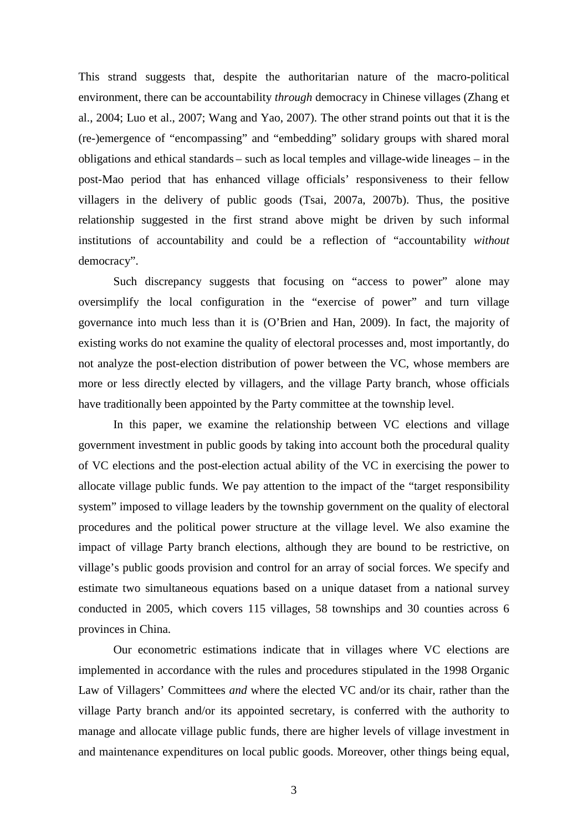This strand suggests that, despite the authoritarian nature of the macro-political environment, there can be accountability *through* democracy in Chinese villages (Zhang et al., 2004; Luo et al., 2007; Wang and Yao, 2007). The other strand points out that it is the (re-)emergence of "encompassing" and "embedding" solidary groups with shared moral obligations and ethical standards – such as local temples and village-wide lineages – in the post-Mao period that has enhanced village officials' responsiveness to their fellow villagers in the delivery of public goods (Tsai, 2007a, 2007b). Thus, the positive relationship suggested in the first strand above might be driven by such informal institutions of accountability and could be a reflection of "accountability *without* democracy".

Such discrepancy suggests that focusing on "access to power" alone may oversimplify the local configuration in the "exercise of power" and turn village governance into much less than it is (O'Brien and Han, 2009). In fact, the majority of existing works do not examine the quality of electoral processes and, most importantly, do not analyze the post-election distribution of power between the VC, whose members are more or less directly elected by villagers, and the village Party branch, whose officials have traditionally been appointed by the Party committee at the township level.

In this paper, we examine the relationship between VC elections and village government investment in public goods by taking into account both the procedural quality of VC elections and the post-election actual ability of the VC in exercising the power to allocate village public funds. We pay attention to the impact of the "target responsibility system" imposed to village leaders by the township government on the quality of electoral procedures and the political power structure at the village level. We also examine the impact of village Party branch elections, although they are bound to be restrictive, on village's public goods provision and control for an array of social forces. We specify and estimate two simultaneous equations based on a unique dataset from a national survey conducted in 2005, which covers 115 villages, 58 townships and 30 counties across 6 provinces in China.

Our econometric estimations indicate that in villages where VC elections are implemented in accordance with the rules and procedures stipulated in the 1998 Organic Law of Villagers' Committees *and* where the elected VC and/or its chair, rather than the village Party branch and/or its appointed secretary, is conferred with the authority to manage and allocate village public funds, there are higher levels of village investment in and maintenance expenditures on local public goods. Moreover, other things being equal,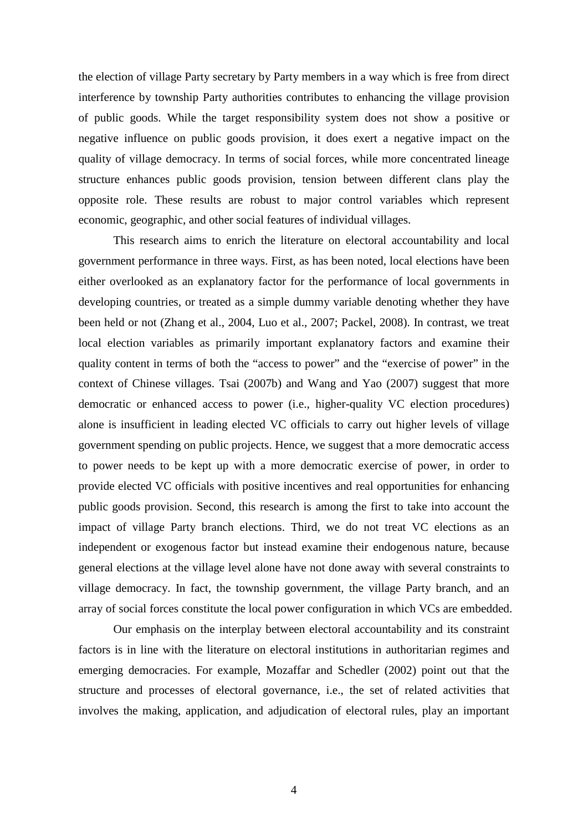the election of village Party secretary by Party members in a way which is free from direct interference by township Party authorities contributes to enhancing the village provision of public goods. While the target responsibility system does not show a positive or negative influence on public goods provision, it does exert a negative impact on the quality of village democracy. In terms of social forces, while more concentrated lineage structure enhances public goods provision, tension between different clans play the opposite role. These results are robust to major control variables which represent economic, geographic, and other social features of individual villages.

This research aims to enrich the literature on electoral accountability and local government performance in three ways. First, as has been noted, local elections have been either overlooked as an explanatory factor for the performance of local governments in developing countries, or treated as a simple dummy variable denoting whether they have been held or not (Zhang et al., 2004, Luo et al., 2007; Packel, 2008). In contrast, we treat local election variables as primarily important explanatory factors and examine their quality content in terms of both the "access to power" and the "exercise of power" in the context of Chinese villages. Tsai (2007b) and Wang and Yao (2007) suggest that more democratic or enhanced access to power (i.e., higher-quality VC election procedures) alone is insufficient in leading elected VC officials to carry out higher levels of village government spending on public projects. Hence, we suggest that a more democratic access to power needs to be kept up with a more democratic exercise of power, in order to provide elected VC officials with positive incentives and real opportunities for enhancing public goods provision. Second, this research is among the first to take into account the impact of village Party branch elections. Third, we do not treat VC elections as an independent or exogenous factor but instead examine their endogenous nature, because general elections at the village level alone have not done away with several constraints to village democracy. In fact, the township government, the village Party branch, and an array of social forces constitute the local power configuration in which VCs are embedded.

Our emphasis on the interplay between electoral accountability and its constraint factors is in line with the literature on electoral institutions in authoritarian regimes and emerging democracies. For example, Mozaffar and Schedler (2002) point out that the structure and processes of electoral governance, i.e., the set of related activities that involves the making, application, and adjudication of electoral rules, play an important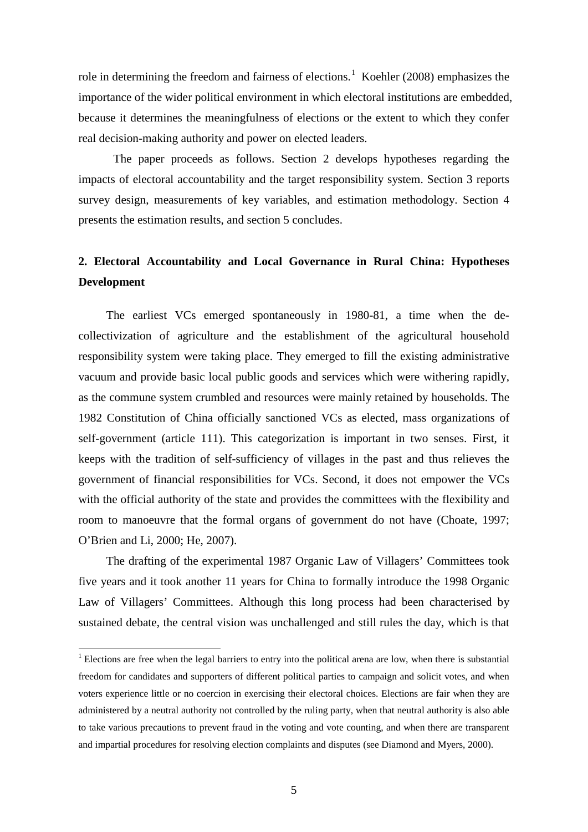role in determining the freedom and fairness of elections.<sup>[1](#page-5-0)</sup> Koehler (2008) emphasizes the importance of the wider political environment in which electoral institutions are embedded, because it determines the meaningfulness of elections or the extent to which they confer real decision-making authority and power on elected leaders.

The paper proceeds as follows. Section 2 develops hypotheses regarding the impacts of electoral accountability and the target responsibility system. Section 3 reports survey design, measurements of key variables, and estimation methodology. Section 4 presents the estimation results, and section 5 concludes.

## **2. Electoral Accountability and Local Governance in Rural China: Hypotheses Development**

The earliest VCs emerged spontaneously in 1980-81, a time when the decollectivization of agriculture and the establishment of the agricultural household responsibility system were taking place. They emerged to fill the existing administrative vacuum and provide basic local public goods and services which were withering rapidly, as the commune system crumbled and resources were mainly retained by households. The 1982 Constitution of China officially sanctioned VCs as elected, mass organizations of self-government (article 111). This categorization is important in two senses. First, it keeps with the tradition of self-sufficiency of villages in the past and thus relieves the government of financial responsibilities for VCs. Second, it does not empower the VCs with the official authority of the state and provides the committees with the flexibility and room to manoeuvre that the formal organs of government do not have (Choate, 1997; O'Brien and Li, 2000; He, 2007).

The drafting of the experimental 1987 Organic Law of Villagers' Committees took five years and it took another 11 years for China to formally introduce the 1998 Organic Law of Villagers' Committees. Although this long process had been characterised by sustained debate, the central vision was unchallenged and still rules the day, which is that

<span id="page-5-0"></span><sup>&</sup>lt;sup>1</sup> Elections are free when the legal barriers to entry into the political arena are low, when there is substantial freedom for candidates and supporters of different political parties to campaign and solicit votes, and when voters experience little or no coercion in exercising their electoral choices. Elections are fair when they are administered by a neutral authority not controlled by the ruling party, when that neutral authority is also able to take various precautions to prevent fraud in the voting and vote counting, and when there are transparent and impartial procedures for resolving election complaints and disputes (see Diamond and Myers, 2000).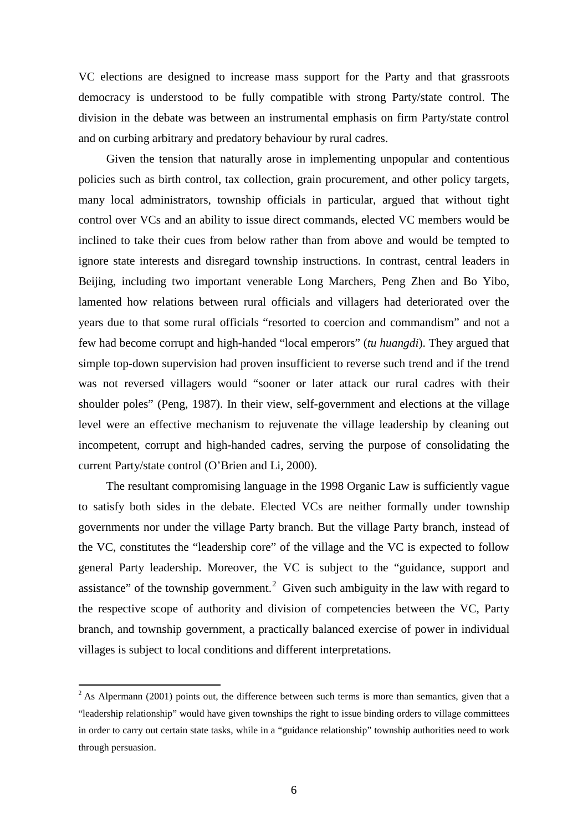VC elections are designed to increase mass support for the Party and that grassroots democracy is understood to be fully compatible with strong Party/state control. The division in the debate was between an instrumental emphasis on firm Party/state control and on curbing arbitrary and predatory behaviour by rural cadres.

Given the tension that naturally arose in implementing unpopular and contentious policies such as birth control, tax collection, grain procurement, and other policy targets, many local administrators, township officials in particular, argued that without tight control over VCs and an ability to issue direct commands, elected VC members would be inclined to take their cues from below rather than from above and would be tempted to ignore state interests and disregard township instructions. In contrast, central leaders in Beijing, including two important venerable Long Marchers, Peng Zhen and Bo Yibo, lamented how relations between rural officials and villagers had deteriorated over the years due to that some rural officials "resorted to coercion and commandism" and not a few had become corrupt and high-handed "local emperors" (*tu huangdi*). They argued that simple top-down supervision had proven insufficient to reverse such trend and if the trend was not reversed villagers would "sooner or later attack our rural cadres with their shoulder poles" (Peng, 1987). In their view, self-government and elections at the village level were an effective mechanism to rejuvenate the village leadership by cleaning out incompetent, corrupt and high-handed cadres, serving the purpose of consolidating the current Party/state control (O'Brien and Li, 2000).

The resultant compromising language in the 1998 Organic Law is sufficiently vague to satisfy both sides in the debate. Elected VCs are neither formally under township governments nor under the village Party branch. But the village Party branch, instead of the VC, constitutes the "leadership core" of the village and the VC is expected to follow general Party leadership. Moreover, the VC is subject to the "guidance, support and assistance" of the township government.<sup>[2](#page-6-0)</sup> Given such ambiguity in the law with regard to the respective scope of authority and division of competencies between the VC, Party branch, and township government, a practically balanced exercise of power in individual villages is subject to local conditions and different interpretations.

<span id="page-6-0"></span><sup>&</sup>lt;sup>2</sup> As Alpermann (2001) points out, the difference between such terms is more than semantics, given that a "leadership relationship" would have given townships the right to issue binding orders to village committees in order to carry out certain state tasks, while in a "guidance relationship" township authorities need to work through persuasion.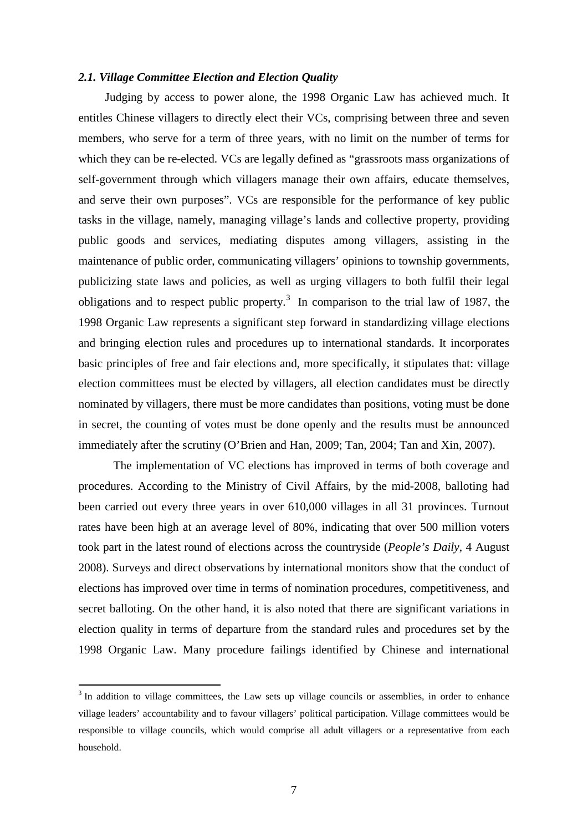#### *2.1. Village Committee Election and Election Quality*

Judging by access to power alone, the 1998 Organic Law has achieved much. It entitles Chinese villagers to directly elect their VCs, comprising between three and seven members, who serve for a term of three years, with no limit on the number of terms for which they can be re-elected. VCs are legally defined as "grassroots mass organizations of self-government through which villagers manage their own affairs, educate themselves, and serve their own purposes". VCs are responsible for the performance of key public tasks in the village, namely, managing village's lands and collective property, providing public goods and services, mediating disputes among villagers, assisting in the maintenance of public order, communicating villagers' opinions to township governments, publicizing state laws and policies, as well as urging villagers to both fulfil their legal obligations and to respect public property.<sup>[3](#page-7-0)</sup> In comparison to the trial law of 1987, the 1998 Organic Law represents a significant step forward in standardizing village elections and bringing election rules and procedures up to international standards. It incorporates basic principles of free and fair elections and, more specifically, it stipulates that: village election committees must be elected by villagers, all election candidates must be directly nominated by villagers, there must be more candidates than positions, voting must be done in secret, the counting of votes must be done openly and the results must be announced immediately after the scrutiny (O'Brien and Han, 2009; Tan, 2004; Tan and Xin, 2007).

The implementation of VC elections has improved in terms of both coverage and procedures. According to the Ministry of Civil Affairs, by the mid-2008, balloting had been carried out every three years in over 610,000 villages in all 31 provinces. Turnout rates have been high at an average level of 80%, indicating that over 500 million voters took part in the latest round of elections across the countryside (*People's Daily*, 4 August 2008). Surveys and direct observations by international monitors show that the conduct of elections has improved over time in terms of nomination procedures, competitiveness, and secret balloting. On the other hand, it is also noted that there are significant variations in election quality in terms of departure from the standard rules and procedures set by the 1998 Organic Law. Many procedure failings identified by Chinese and international

<span id="page-7-0"></span><sup>&</sup>lt;sup>3</sup> In addition to village committees, the Law sets up village councils or assemblies, in order to enhance village leaders' accountability and to favour villagers' political participation. Village committees would be responsible to village councils, which would comprise all adult villagers or a representative from each household.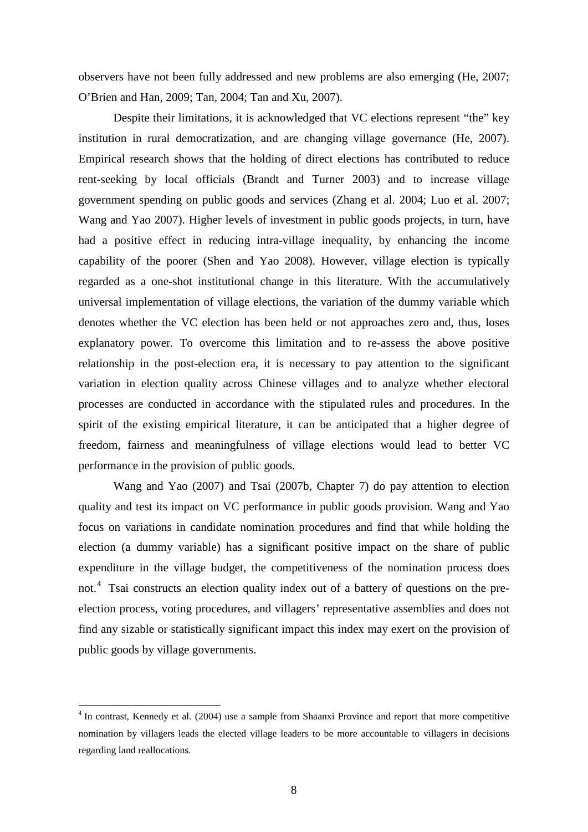observers have not been fully addressed and new problems are also emerging (He, 2007; O'Brien and Han, 2009; Tan, 2004; Tan and Xu, 2007).

Despite their limitations, it is acknowledged that VC elections represent "the" key institution in rural democratization, and are changing village governance (He, 2007). Empirical research shows that the holding of direct elections has contributed to reduce rent-seeking by local officials (Brandt and Turner 2003) and to increase village government spending on public goods and services (Zhang et al. 2004; Luo et al. 2007; Wang and Yao 2007). Higher levels of investment in public goods projects, in turn, have had a positive effect in reducing intra-village inequality, by enhancing the income capability of the poorer (Shen and Yao 2008). However, village election is typically regarded as a one-shot institutional change in this literature. With the accumulatively universal implementation of village elections, the variation of the dummy variable which denotes whether the VC election has been held or not approaches zero and, thus, loses explanatory power. To overcome this limitation and to re-assess the above positive relationship in the post-election era, it is necessary to pay attention to the significant variation in election quality across Chinese villages and to analyze whether electoral processes are conducted in accordance with the stipulated rules and procedures. In the spirit of the existing empirical literature, it can be anticipated that a higher degree of freedom, fairness and meaningfulness of village elections would lead to better VC performance in the provision of public goods.

Wang and Yao (2007) and Tsai (2007b, Chapter 7) do pay attention to election quality and test its impact on VC performance in public goods provision. Wang and Yao focus on variations in candidate nomination procedures and find that while holding the election (a dummy variable) has a significant positive impact on the share of public expenditure in the village budget, the competitiveness of the nomination process does not. [4](#page-8-0) Tsai constructs an election quality index out of a battery of questions on the preelection process, voting procedures, and villagers' representative assemblies and does not find any sizable or statistically significant impact this index may exert on the provision of public goods by village governments.

<span id="page-8-0"></span><sup>&</sup>lt;sup>4</sup> In contrast, Kennedy et al. (2004) use a sample from Shaanxi Province and report that more competitive nomination by villagers leads the elected village leaders to be more accountable to villagers in decisions regarding land reallocations.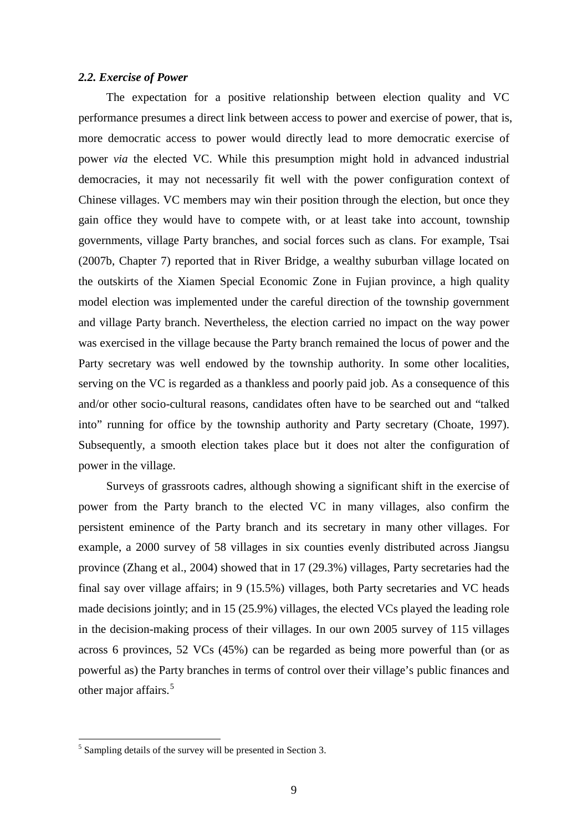#### *2.2. Exercise of Power*

The expectation for a positive relationship between election quality and VC performance presumes a direct link between access to power and exercise of power, that is, more democratic access to power would directly lead to more democratic exercise of power *via* the elected VC. While this presumption might hold in advanced industrial democracies, it may not necessarily fit well with the power configuration context of Chinese villages. VC members may win their position through the election, but once they gain office they would have to compete with, or at least take into account, township governments, village Party branches, and social forces such as clans. For example, Tsai (2007b, Chapter 7) reported that in River Bridge, a wealthy suburban village located on the outskirts of the Xiamen Special Economic Zone in Fujian province, a high quality model election was implemented under the careful direction of the township government and village Party branch. Nevertheless, the election carried no impact on the way power was exercised in the village because the Party branch remained the locus of power and the Party secretary was well endowed by the township authority. In some other localities, serving on the VC is regarded as a thankless and poorly paid job. As a consequence of this and/or other socio-cultural reasons, candidates often have to be searched out and "talked into" running for office by the township authority and Party secretary (Choate, 1997). Subsequently, a smooth election takes place but it does not alter the configuration of power in the village.

Surveys of grassroots cadres, although showing a significant shift in the exercise of power from the Party branch to the elected VC in many villages, also confirm the persistent eminence of the Party branch and its secretary in many other villages. For example, a 2000 survey of 58 villages in six counties evenly distributed across Jiangsu province (Zhang et al., 2004) showed that in 17 (29.3%) villages, Party secretaries had the final say over village affairs; in 9 (15.5%) villages, both Party secretaries and VC heads made decisions jointly; and in 15 (25.9%) villages, the elected VCs played the leading role in the decision-making process of their villages. In our own 2005 survey of 115 villages across 6 provinces, 52 VCs (45%) can be regarded as being more powerful than (or as powerful as) the Party branches in terms of control over their village's public finances and other major affairs. [5](#page-9-0)

<span id="page-9-0"></span><sup>&</sup>lt;sup>5</sup> Sampling details of the survey will be presented in Section 3.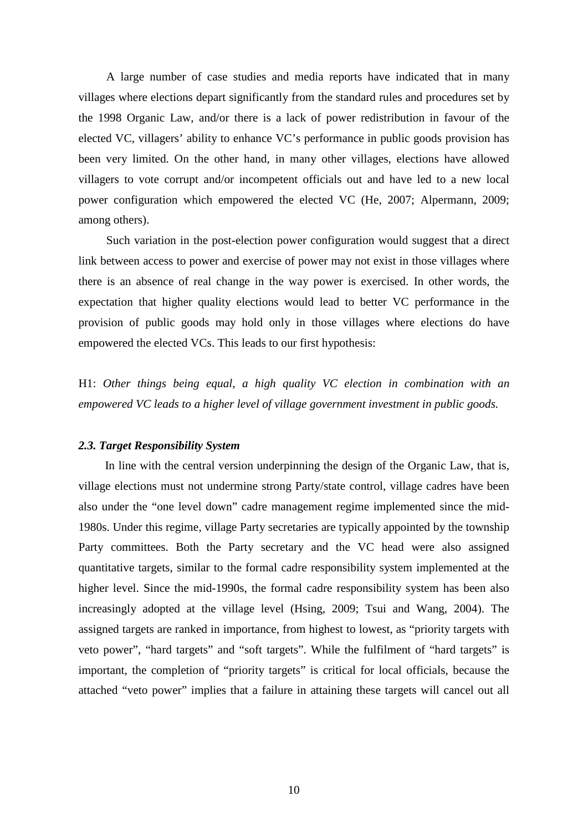A large number of case studies and media reports have indicated that in many villages where elections depart significantly from the standard rules and procedures set by the 1998 Organic Law, and/or there is a lack of power redistribution in favour of the elected VC, villagers' ability to enhance VC's performance in public goods provision has been very limited. On the other hand, in many other villages, elections have allowed villagers to vote corrupt and/or incompetent officials out and have led to a new local power configuration which empowered the elected VC (He, 2007; Alpermann, 2009; among others).

Such variation in the post-election power configuration would suggest that a direct link between access to power and exercise of power may not exist in those villages where there is an absence of real change in the way power is exercised. In other words, the expectation that higher quality elections would lead to better VC performance in the provision of public goods may hold only in those villages where elections do have empowered the elected VCs. This leads to our first hypothesis:

H1: *Other things being equal, a high quality VC election in combination with an empowered VC leads to a higher level of village government investment in public goods.* 

### *2.3. Target Responsibility System*

In line with the central version underpinning the design of the Organic Law, that is, village elections must not undermine strong Party/state control, village cadres have been also under the "one level down" cadre management regime implemented since the mid-1980s. Under this regime, village Party secretaries are typically appointed by the township Party committees. Both the Party secretary and the VC head were also assigned quantitative targets, similar to the formal cadre responsibility system implemented at the higher level. Since the mid-1990s, the formal cadre responsibility system has been also increasingly adopted at the village level (Hsing, 2009; Tsui and Wang, 2004). The assigned targets are ranked in importance, from highest to lowest, as "priority targets with veto power", "hard targets" and "soft targets". While the fulfilment of "hard targets" is important, the completion of "priority targets" is critical for local officials, because the attached "veto power" implies that a failure in attaining these targets will cancel out all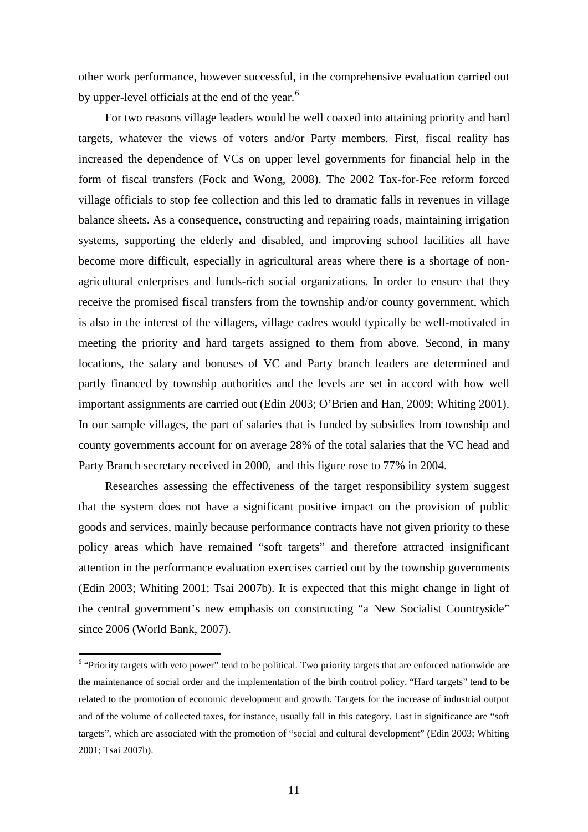other work performance, however successful, in the comprehensive evaluation carried out by upper-level officials at the end of the year.<sup>[6](#page-11-0)</sup>

For two reasons village leaders would be well coaxed into attaining priority and hard targets, whatever the views of voters and/or Party members. First, fiscal reality has increased the dependence of VCs on upper level governments for financial help in the form of fiscal transfers (Fock and Wong, 2008). The 2002 Tax-for-Fee reform forced village officials to stop fee collection and this led to dramatic falls in revenues in village balance sheets. As a consequence, constructing and repairing roads, maintaining irrigation systems, supporting the elderly and disabled, and improving school facilities all have become more difficult, especially in agricultural areas where there is a shortage of nonagricultural enterprises and funds-rich social organizations. In order to ensure that they receive the promised fiscal transfers from the township and/or county government, which is also in the interest of the villagers, village cadres would typically be well-motivated in meeting the priority and hard targets assigned to them from above. Second, in many locations, the salary and bonuses of VC and Party branch leaders are determined and partly financed by township authorities and the levels are set in accord with how well important assignments are carried out (Edin 2003; O'Brien and Han, 2009; Whiting 2001). In our sample villages, the part of salaries that is funded by subsidies from township and county governments account for on average 28% of the total salaries that the VC head and Party Branch secretary received in 2000, and this figure rose to 77% in 2004.

Researches assessing the effectiveness of the target responsibility system suggest that the system does not have a significant positive impact on the provision of public goods and services, mainly because performance contracts have not given priority to these policy areas which have remained "soft targets" and therefore attracted insignificant attention in the performance evaluation exercises carried out by the township governments (Edin 2003; Whiting 2001; Tsai 2007b). It is expected that this might change in light of the central government's new emphasis on constructing "a New Socialist Countryside" since 2006 (World Bank, 2007).

<span id="page-11-0"></span><sup>&</sup>lt;sup>6</sup> "Priority targets with veto power" tend to be political. Two priority targets that are enforced nationwide are the maintenance of social order and the implementation of the birth control policy. "Hard targets" tend to be related to the promotion of economic development and growth. Targets for the increase of industrial output and of the volume of collected taxes, for instance, usually fall in this category. Last in significance are "soft targets", which are associated with the promotion of "social and cultural development" (Edin 2003; Whiting 2001; Tsai 2007b).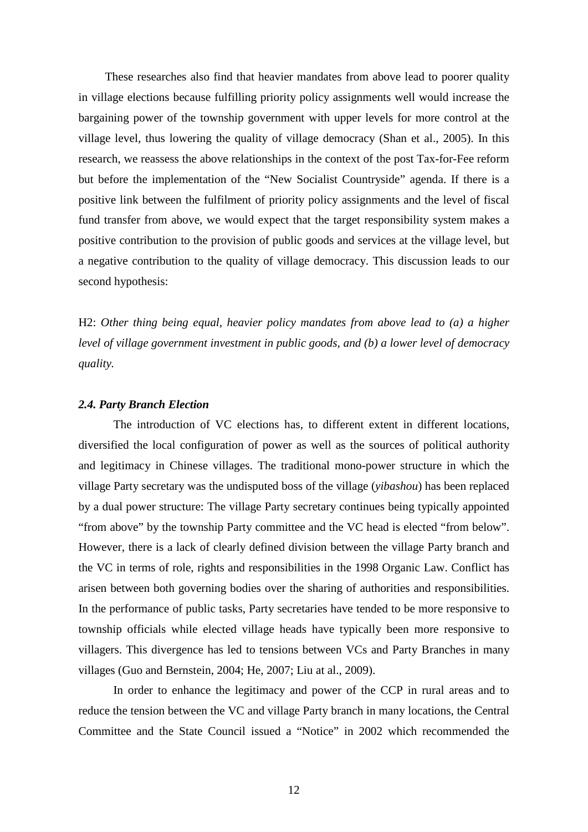These researches also find that heavier mandates from above lead to poorer quality in village elections because fulfilling priority policy assignments well would increase the bargaining power of the township government with upper levels for more control at the village level, thus lowering the quality of village democracy (Shan et al., 2005). In this research, we reassess the above relationships in the context of the post Tax-for-Fee reform but before the implementation of the "New Socialist Countryside" agenda. If there is a positive link between the fulfilment of priority policy assignments and the level of fiscal fund transfer from above, we would expect that the target responsibility system makes a positive contribution to the provision of public goods and services at the village level, but a negative contribution to the quality of village democracy. This discussion leads to our second hypothesis:

H2: *Other thing being equal, heavier policy mandates from above lead to (a) a higher level of village government investment in public goods, and (b) a lower level of democracy quality.*

#### *2.4. Party Branch Election*

The introduction of VC elections has, to different extent in different locations, diversified the local configuration of power as well as the sources of political authority and legitimacy in Chinese villages. The traditional mono-power structure in which the village Party secretary was the undisputed boss of the village (*yibashou*) has been replaced by a dual power structure: The village Party secretary continues being typically appointed "from above" by the township Party committee and the VC head is elected "from below". However, there is a lack of clearly defined division between the village Party branch and the VC in terms of role, rights and responsibilities in the 1998 Organic Law. Conflict has arisen between both governing bodies over the sharing of authorities and responsibilities. In the performance of public tasks, Party secretaries have tended to be more responsive to township officials while elected village heads have typically been more responsive to villagers. This divergence has led to tensions between VCs and Party Branches in many villages (Guo and Bernstein, 2004; He, 2007; Liu at al., 2009).

In order to enhance the legitimacy and power of the CCP in rural areas and to reduce the tension between the VC and village Party branch in many locations, the Central Committee and the State Council issued a "Notice" in 2002 which recommended the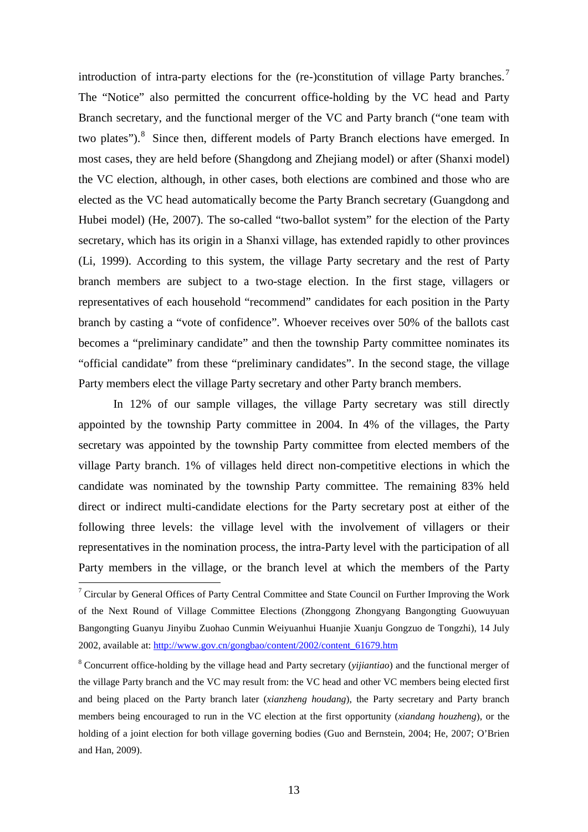introduction of intra-party elections for the (re-)constitution of village Party branches.<sup>[7](#page-13-0)</sup> The "Notice" also permitted the concurrent office-holding by the VC head and Party Branch secretary, and the functional merger of the VC and Party branch ("one team with two plates").<sup>[8](#page-13-1)</sup> Since then, different models of Party Branch elections have emerged. In most cases, they are held before (Shangdong and Zhejiang model) or after (Shanxi model) the VC election, although, in other cases, both elections are combined and those who are elected as the VC head automatically become the Party Branch secretary (Guangdong and Hubei model) (He, 2007). The so-called "two-ballot system" for the election of the Party secretary, which has its origin in a Shanxi village, has extended rapidly to other provinces (Li, 1999). According to this system, the village Party secretary and the rest of Party branch members are subject to a two-stage election. In the first stage, villagers or representatives of each household "recommend" candidates for each position in the Party branch by casting a "vote of confidence". Whoever receives over 50% of the ballots cast becomes a "preliminary candidate" and then the township Party committee nominates its "official candidate" from these "preliminary candidates". In the second stage, the village Party members elect the village Party secretary and other Party branch members.

In 12% of our sample villages, the village Party secretary was still directly appointed by the township Party committee in 2004. In 4% of the villages, the Party secretary was appointed by the township Party committee from elected members of the village Party branch. 1% of villages held direct non-competitive elections in which the candidate was nominated by the township Party committee. The remaining 83% held direct or indirect multi-candidate elections for the Party secretary post at either of the following three levels: the village level with the involvement of villagers or their representatives in the nomination process, the intra-Party level with the participation of all Party members in the village, or the branch level at which the members of the Party

<span id="page-13-0"></span> <sup>7</sup> Circular by General Offices of Party Central Committee and State Council on Further Improving the Work of the Next Round of Village Committee Elections (Zhonggong Zhongyang Bangongting Guowuyuan Bangongting Guanyu Jinyibu Zuohao Cunmin Weiyuanhui Huanjie Xuanju Gongzuo de Tongzhi), 14 July 2002, available at[: http://www.gov.cn/gongbao/content/2002/content\\_61679.htm](http://www.gov.cn/gongbao/content/2002/content_61679.htm)

<span id="page-13-1"></span><sup>8</sup> Concurrent office-holding by the village head and Party secretary (*yijiantiao*) and the functional merger of the village Party branch and the VC may result from: the VC head and other VC members being elected first and being placed on the Party branch later (*xianzheng houdang*), the Party secretary and Party branch members being encouraged to run in the VC election at the first opportunity (*xiandang houzheng*), or the holding of a joint election for both village governing bodies (Guo and Bernstein, 2004; He, 2007; O'Brien and Han, 2009).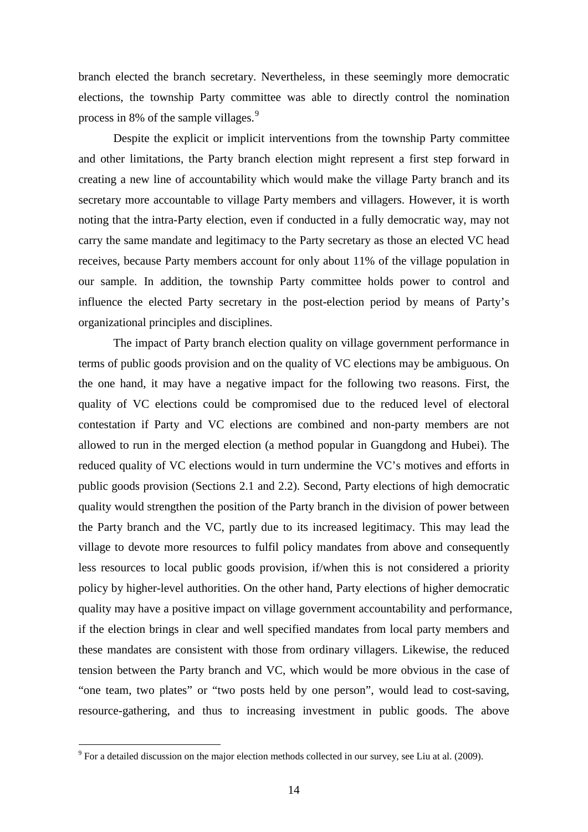branch elected the branch secretary. Nevertheless, in these seemingly more democratic elections, the township Party committee was able to directly control the nomination process in 8% of the sample villages.<sup>[9](#page-14-0)</sup>

Despite the explicit or implicit interventions from the township Party committee and other limitations, the Party branch election might represent a first step forward in creating a new line of accountability which would make the village Party branch and its secretary more accountable to village Party members and villagers. However, it is worth noting that the intra-Party election, even if conducted in a fully democratic way, may not carry the same mandate and legitimacy to the Party secretary as those an elected VC head receives, because Party members account for only about 11% of the village population in our sample. In addition, the township Party committee holds power to control and influence the elected Party secretary in the post-election period by means of Party's organizational principles and disciplines.

The impact of Party branch election quality on village government performance in terms of public goods provision and on the quality of VC elections may be ambiguous. On the one hand, it may have a negative impact for the following two reasons. First, the quality of VC elections could be compromised due to the reduced level of electoral contestation if Party and VC elections are combined and non-party members are not allowed to run in the merged election (a method popular in Guangdong and Hubei). The reduced quality of VC elections would in turn undermine the VC's motives and efforts in public goods provision (Sections 2.1 and 2.2). Second, Party elections of high democratic quality would strengthen the position of the Party branch in the division of power between the Party branch and the VC, partly due to its increased legitimacy. This may lead the village to devote more resources to fulfil policy mandates from above and consequently less resources to local public goods provision, if/when this is not considered a priority policy by higher-level authorities. On the other hand, Party elections of higher democratic quality may have a positive impact on village government accountability and performance, if the election brings in clear and well specified mandates from local party members and these mandates are consistent with those from ordinary villagers. Likewise, the reduced tension between the Party branch and VC, which would be more obvious in the case of "one team, two plates" or "two posts held by one person", would lead to cost-saving, resource-gathering, and thus to increasing investment in public goods. The above

<span id="page-14-0"></span> $9$  For a detailed discussion on the major election methods collected in our survey, see Liu at al. (2009).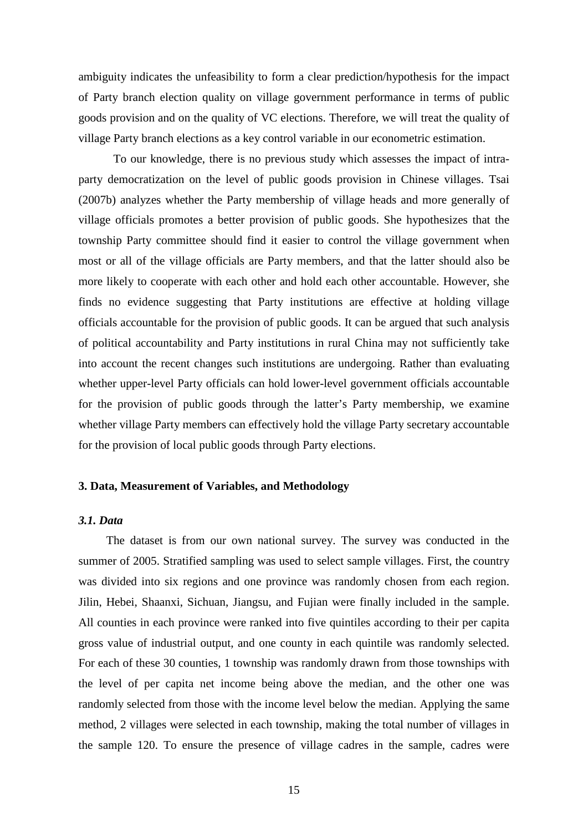ambiguity indicates the unfeasibility to form a clear prediction/hypothesis for the impact of Party branch election quality on village government performance in terms of public goods provision and on the quality of VC elections. Therefore, we will treat the quality of village Party branch elections as a key control variable in our econometric estimation.

To our knowledge, there is no previous study which assesses the impact of intraparty democratization on the level of public goods provision in Chinese villages. Tsai (2007b) analyzes whether the Party membership of village heads and more generally of village officials promotes a better provision of public goods. She hypothesizes that the township Party committee should find it easier to control the village government when most or all of the village officials are Party members, and that the latter should also be more likely to cooperate with each other and hold each other accountable. However, she finds no evidence suggesting that Party institutions are effective at holding village officials accountable for the provision of public goods. It can be argued that such analysis of political accountability and Party institutions in rural China may not sufficiently take into account the recent changes such institutions are undergoing. Rather than evaluating whether upper-level Party officials can hold lower-level government officials accountable for the provision of public goods through the latter's Party membership, we examine whether village Party members can effectively hold the village Party secretary accountable for the provision of local public goods through Party elections.

### **3. Data, Measurement of Variables, and Methodology**

## *3.1. Data*

The dataset is from our own national survey. The survey was conducted in the summer of 2005. Stratified sampling was used to select sample villages. First, the country was divided into six regions and one province was randomly chosen from each region. Jilin, Hebei, Shaanxi, Sichuan, Jiangsu, and Fujian were finally included in the sample. All counties in each province were ranked into five quintiles according to their per capita gross value of industrial output, and one county in each quintile was randomly selected. For each of these 30 counties, 1 township was randomly drawn from those townships with the level of per capita net income being above the median, and the other one was randomly selected from those with the income level below the median. Applying the same method, 2 villages were selected in each township, making the total number of villages in the sample 120. To ensure the presence of village cadres in the sample, cadres were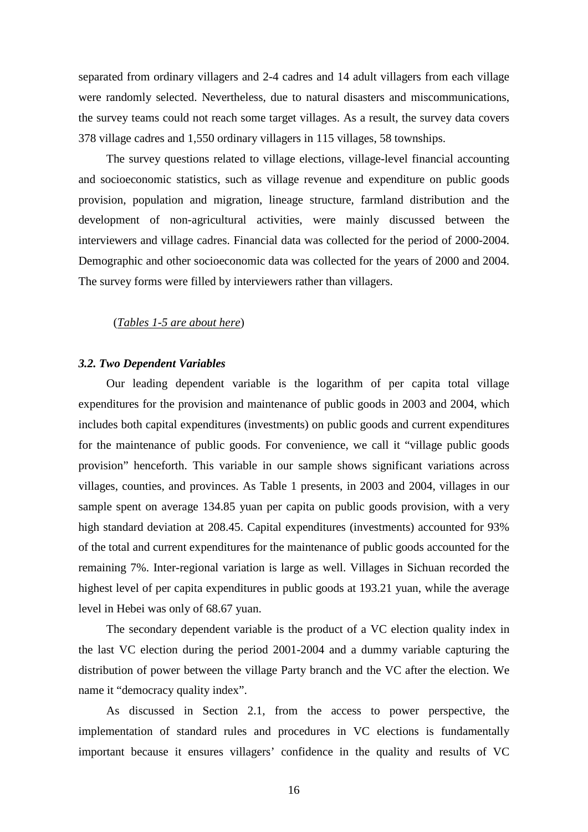separated from ordinary villagers and 2-4 cadres and 14 adult villagers from each village were randomly selected. Nevertheless, due to natural disasters and miscommunications, the survey teams could not reach some target villages. As a result, the survey data covers 378 village cadres and 1,550 ordinary villagers in 115 villages, 58 townships.

The survey questions related to village elections, village-level financial accounting and socioeconomic statistics, such as village revenue and expenditure on public goods provision, population and migration, lineage structure, farmland distribution and the development of non-agricultural activities, were mainly discussed between the interviewers and village cadres. Financial data was collected for the period of 2000-2004. Demographic and other socioeconomic data was collected for the years of 2000 and 2004. The survey forms were filled by interviewers rather than villagers.

## (*Tables 1-5 are about here*)

#### *3.2. Two Dependent Variables*

Our leading dependent variable is the logarithm of per capita total village expenditures for the provision and maintenance of public goods in 2003 and 2004, which includes both capital expenditures (investments) on public goods and current expenditures for the maintenance of public goods. For convenience, we call it "village public goods provision" henceforth. This variable in our sample shows significant variations across villages, counties, and provinces. As Table 1 presents, in 2003 and 2004, villages in our sample spent on average 134.85 yuan per capita on public goods provision, with a very high standard deviation at 208.45. Capital expenditures (investments) accounted for 93% of the total and current expenditures for the maintenance of public goods accounted for the remaining 7%. Inter-regional variation is large as well. Villages in Sichuan recorded the highest level of per capita expenditures in public goods at 193.21 yuan, while the average level in Hebei was only of 68.67 yuan.

The secondary dependent variable is the product of a VC election quality index in the last VC election during the period 2001-2004 and a dummy variable capturing the distribution of power between the village Party branch and the VC after the election. We name it "democracy quality index".

As discussed in Section 2.1, from the access to power perspective, the implementation of standard rules and procedures in VC elections is fundamentally important because it ensures villagers' confidence in the quality and results of VC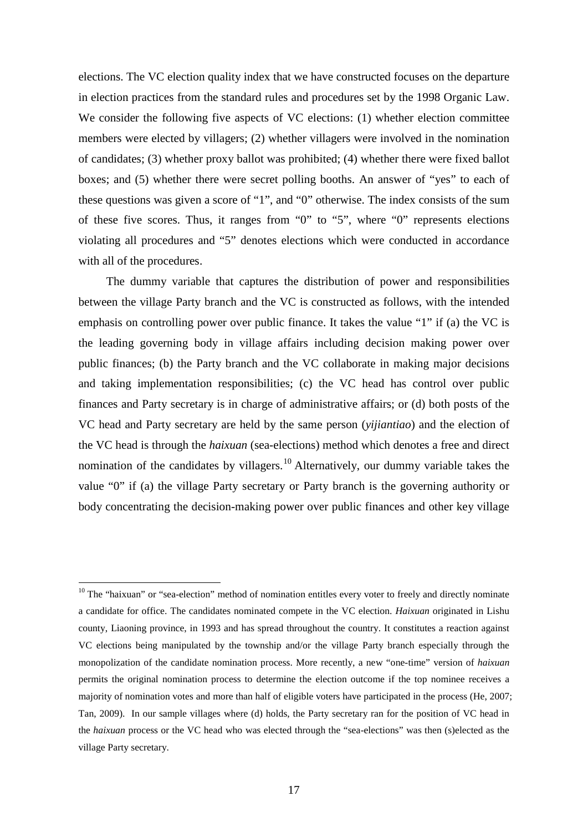elections. The VC election quality index that we have constructed focuses on the departure in election practices from the standard rules and procedures set by the 1998 Organic Law. We consider the following five aspects of VC elections: (1) whether election committee members were elected by villagers; (2) whether villagers were involved in the nomination of candidates; (3) whether proxy ballot was prohibited; (4) whether there were fixed ballot boxes; and (5) whether there were secret polling booths. An answer of "yes" to each of these questions was given a score of "1", and "0" otherwise. The index consists of the sum of these five scores. Thus, it ranges from "0" to "5", where "0" represents elections violating all procedures and "5" denotes elections which were conducted in accordance with all of the procedures.

The dummy variable that captures the distribution of power and responsibilities between the village Party branch and the VC is constructed as follows, with the intended emphasis on controlling power over public finance. It takes the value "1" if (a) the VC is the leading governing body in village affairs including decision making power over public finances; (b) the Party branch and the VC collaborate in making major decisions and taking implementation responsibilities; (c) the VC head has control over public finances and Party secretary is in charge of administrative affairs; or (d) both posts of the VC head and Party secretary are held by the same person (*yijiantiao*) and the election of the VC head is through the *haixuan* (sea-elections) method which denotes a free and direct nomination of the candidates by villagers.<sup>[10](#page-17-0)</sup> Alternatively, our dummy variable takes the value "0" if (a) the village Party secretary or Party branch is the governing authority or body concentrating the decision-making power over public finances and other key village

<span id="page-17-0"></span><sup>&</sup>lt;sup>10</sup> The "haixuan" or "sea-election" method of nomination entitles every voter to freely and directly nominate a candidate for office. The candidates nominated compete in the VC election. *Haixuan* originated in Lishu county, Liaoning province, in 1993 and has spread throughout the country. It constitutes a reaction against VC elections being manipulated by the township and/or the village Party branch especially through the monopolization of the candidate nomination process. More recently, a new "one-time" version of *haixuan* permits the original nomination process to determine the election outcome if the top nominee receives a majority of nomination votes and more than half of eligible voters have participated in the process (He, 2007; Tan, 2009). In our sample villages where (d) holds, the Party secretary ran for the position of VC head in the *haixuan* process or the VC head who was elected through the "sea-elections" was then (s)elected as the village Party secretary.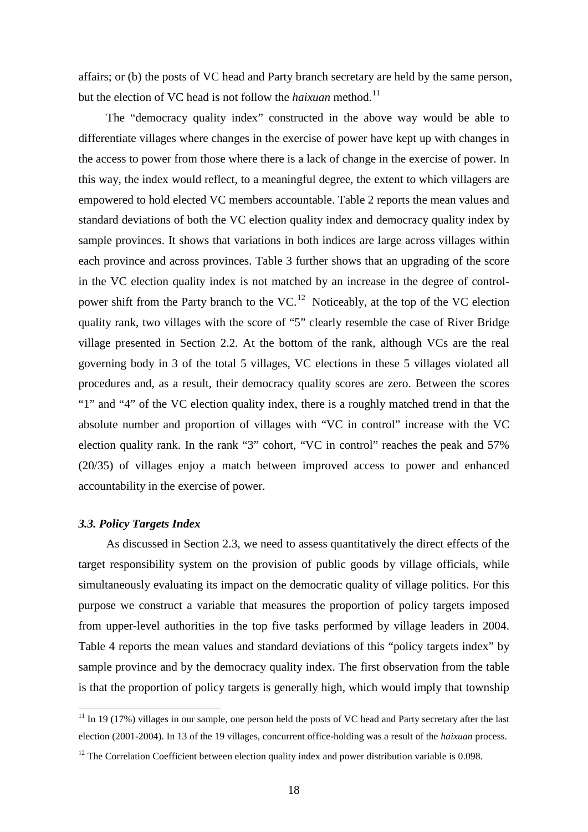affairs; or (b) the posts of VC head and Party branch secretary are held by the same person, but the election of VC head is not follow the *haixuan* method. [11](#page-18-0)

The "democracy quality index" constructed in the above way would be able to differentiate villages where changes in the exercise of power have kept up with changes in the access to power from those where there is a lack of change in the exercise of power. In this way, the index would reflect, to a meaningful degree, the extent to which villagers are empowered to hold elected VC members accountable. Table 2 reports the mean values and standard deviations of both the VC election quality index and democracy quality index by sample provinces. It shows that variations in both indices are large across villages within each province and across provinces. Table 3 further shows that an upgrading of the score in the VC election quality index is not matched by an increase in the degree of controlpower shift from the Party branch to the  $VC$ .<sup>[12](#page-18-1)</sup> Noticeably, at the top of the VC election quality rank, two villages with the score of "5" clearly resemble the case of River Bridge village presented in Section 2.2. At the bottom of the rank, although VCs are the real governing body in 3 of the total 5 villages, VC elections in these 5 villages violated all procedures and, as a result, their democracy quality scores are zero. Between the scores "1" and "4" of the VC election quality index, there is a roughly matched trend in that the absolute number and proportion of villages with "VC in control" increase with the VC election quality rank. In the rank "3" cohort, "VC in control" reaches the peak and 57% (20/35) of villages enjoy a match between improved access to power and enhanced accountability in the exercise of power.

#### *3.3. Policy Targets Index*

As discussed in Section 2.3, we need to assess quantitatively the direct effects of the target responsibility system on the provision of public goods by village officials, while simultaneously evaluating its impact on the democratic quality of village politics. For this purpose we construct a variable that measures the proportion of policy targets imposed from upper-level authorities in the top five tasks performed by village leaders in 2004. Table 4 reports the mean values and standard deviations of this "policy targets index" by sample province and by the democracy quality index. The first observation from the table is that the proportion of policy targets is generally high, which would imply that township

<span id="page-18-0"></span> $11$  In 19 (17%) villages in our sample, one person held the posts of VC head and Party secretary after the last election (2001-2004). In 13 of the 19 villages, concurrent office-holding was a result of the *haixuan* process.

<span id="page-18-1"></span><sup>&</sup>lt;sup>12</sup> The Correlation Coefficient between election quality index and power distribution variable is 0.098.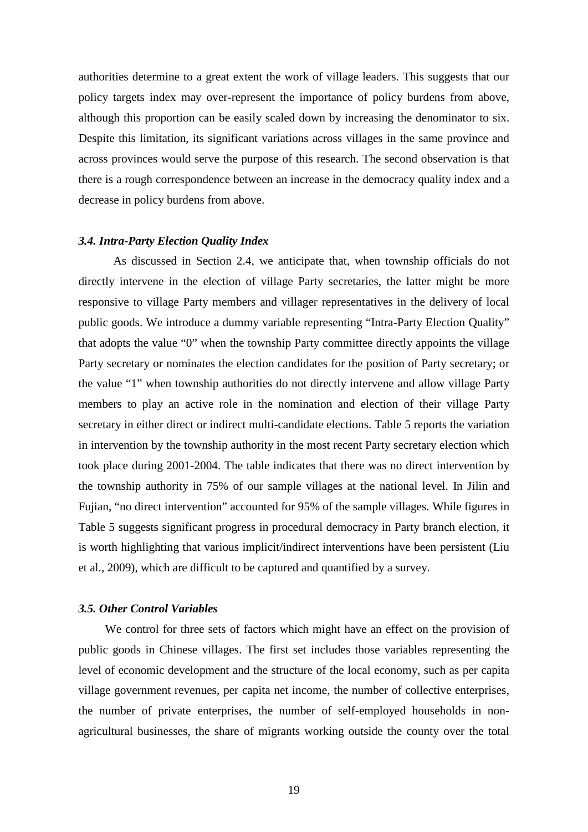authorities determine to a great extent the work of village leaders. This suggests that our policy targets index may over-represent the importance of policy burdens from above, although this proportion can be easily scaled down by increasing the denominator to six. Despite this limitation, its significant variations across villages in the same province and across provinces would serve the purpose of this research. The second observation is that there is a rough correspondence between an increase in the democracy quality index and a decrease in policy burdens from above.

#### *3.4. Intra-Party Election Quality Index*

As discussed in Section 2.4, we anticipate that, when township officials do not directly intervene in the election of village Party secretaries, the latter might be more responsive to village Party members and villager representatives in the delivery of local public goods. We introduce a dummy variable representing "Intra-Party Election Quality" that adopts the value "0" when the township Party committee directly appoints the village Party secretary or nominates the election candidates for the position of Party secretary; or the value "1" when township authorities do not directly intervene and allow village Party members to play an active role in the nomination and election of their village Party secretary in either direct or indirect multi-candidate elections. Table 5 reports the variation in intervention by the township authority in the most recent Party secretary election which took place during 2001-2004. The table indicates that there was no direct intervention by the township authority in 75% of our sample villages at the national level. In Jilin and Fujian, "no direct intervention" accounted for 95% of the sample villages. While figures in Table 5 suggests significant progress in procedural democracy in Party branch election, it is worth highlighting that various implicit/indirect interventions have been persistent (Liu et al., 2009), which are difficult to be captured and quantified by a survey.

### *3.5. Other Control Variables*

We control for three sets of factors which might have an effect on the provision of public goods in Chinese villages. The first set includes those variables representing the level of economic development and the structure of the local economy, such as per capita village government revenues, per capita net income, the number of collective enterprises, the number of private enterprises, the number of self-employed households in nonagricultural businesses, the share of migrants working outside the county over the total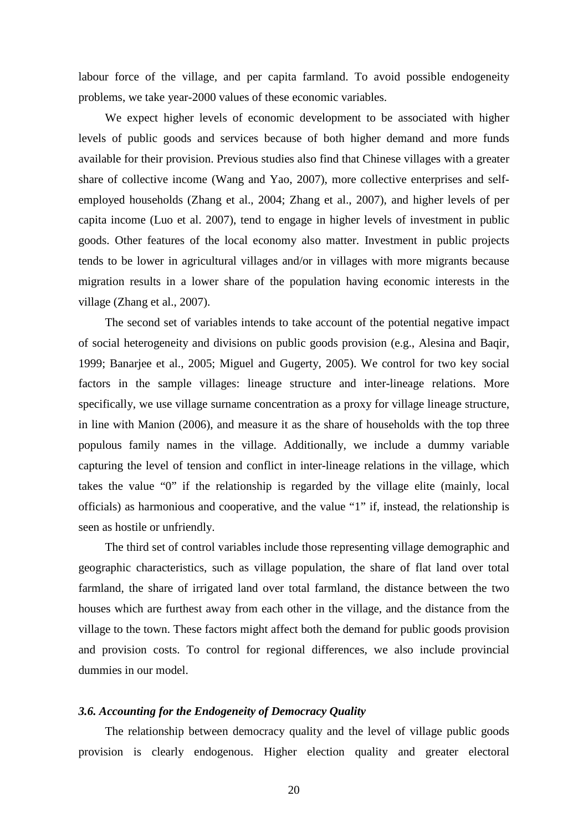labour force of the village, and per capita farmland. To avoid possible endogeneity problems, we take year-2000 values of these economic variables.

We expect higher levels of economic development to be associated with higher levels of public goods and services because of both higher demand and more funds available for their provision. Previous studies also find that Chinese villages with a greater share of collective income (Wang and Yao, 2007), more collective enterprises and selfemployed households (Zhang et al., 2004; Zhang et al., 2007), and higher levels of per capita income (Luo et al. 2007), tend to engage in higher levels of investment in public goods. Other features of the local economy also matter. Investment in public projects tends to be lower in agricultural villages and/or in villages with more migrants because migration results in a lower share of the population having economic interests in the village (Zhang et al., 2007).

The second set of variables intends to take account of the potential negative impact of social heterogeneity and divisions on public goods provision (e.g., Alesina and Baqir, 1999; Banarjee et al., 2005; Miguel and Gugerty, 2005). We control for two key social factors in the sample villages: lineage structure and inter-lineage relations. More specifically, we use village surname concentration as a proxy for village lineage structure, in line with Manion (2006), and measure it as the share of households with the top three populous family names in the village. Additionally, we include a dummy variable capturing the level of tension and conflict in inter-lineage relations in the village, which takes the value "0" if the relationship is regarded by the village elite (mainly, local officials) as harmonious and cooperative, and the value "1" if, instead, the relationship is seen as hostile or unfriendly.

The third set of control variables include those representing village demographic and geographic characteristics, such as village population, the share of flat land over total farmland, the share of irrigated land over total farmland, the distance between the two houses which are furthest away from each other in the village, and the distance from the village to the town. These factors might affect both the demand for public goods provision and provision costs. To control for regional differences, we also include provincial dummies in our model.

#### *3.6. Accounting for the Endogeneity of Democracy Quality*

The relationship between democracy quality and the level of village public goods provision is clearly endogenous. Higher election quality and greater electoral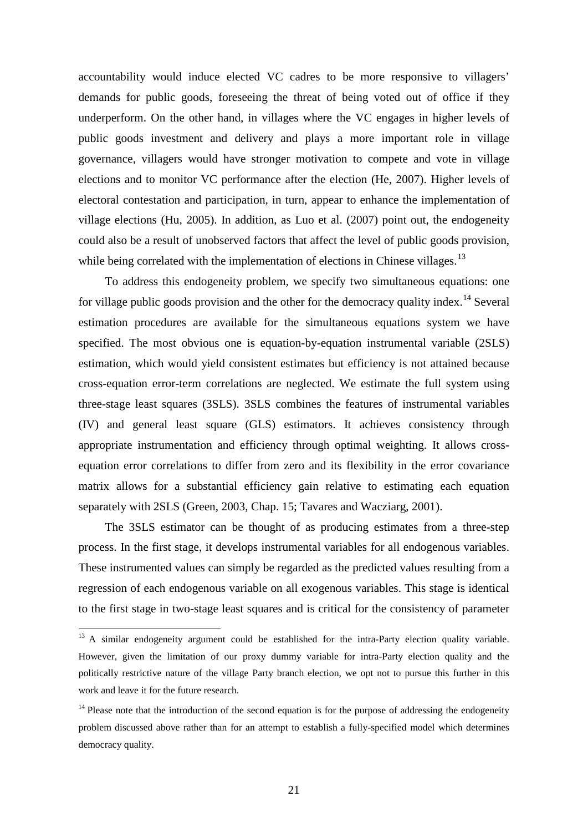accountability would induce elected VC cadres to be more responsive to villagers' demands for public goods, foreseeing the threat of being voted out of office if they underperform. On the other hand, in villages where the VC engages in higher levels of public goods investment and delivery and plays a more important role in village governance, villagers would have stronger motivation to compete and vote in village elections and to monitor VC performance after the election (He, 2007). Higher levels of electoral contestation and participation, in turn, appear to enhance the implementation of village elections (Hu, 2005). In addition, as Luo et al. (2007) point out, the endogeneity could also be a result of unobserved factors that affect the level of public goods provision, while being correlated with the implementation of elections in Chinese villages.<sup>[13](#page-21-0)</sup>

To address this endogeneity problem, we specify two simultaneous equations: one for village public goods provision and the other for the democracy quality index.<sup>[14](#page-21-1)</sup> Several estimation procedures are available for the simultaneous equations system we have specified. The most obvious one is equation-by-equation instrumental variable (2SLS) estimation, which would yield consistent estimates but efficiency is not attained because cross-equation error-term correlations are neglected. We estimate the full system using three-stage least squares (3SLS). 3SLS combines the features of instrumental variables (IV) and general least square (GLS) estimators. It achieves consistency through appropriate instrumentation and efficiency through optimal weighting. It allows crossequation error correlations to differ from zero and its flexibility in the error covariance matrix allows for a substantial efficiency gain relative to estimating each equation separately with 2SLS (Green, 2003, Chap. 15; Tavares and Wacziarg, 2001).

The 3SLS estimator can be thought of as producing estimates from a three-step process. In the first stage, it develops instrumental variables for all endogenous variables. These instrumented values can simply be regarded as the predicted values resulting from a regression of each endogenous variable on all exogenous variables. This stage is identical to the first stage in two-stage least squares and is critical for the consistency of parameter

<span id="page-21-0"></span><sup>&</sup>lt;sup>13</sup> A similar endogeneity argument could be established for the intra-Party election quality variable. However, given the limitation of our proxy dummy variable for intra-Party election quality and the politically restrictive nature of the village Party branch election, we opt not to pursue this further in this work and leave it for the future research.

<span id="page-21-1"></span> $14$  Please note that the introduction of the second equation is for the purpose of addressing the endogeneity problem discussed above rather than for an attempt to establish a fully-specified model which determines democracy quality.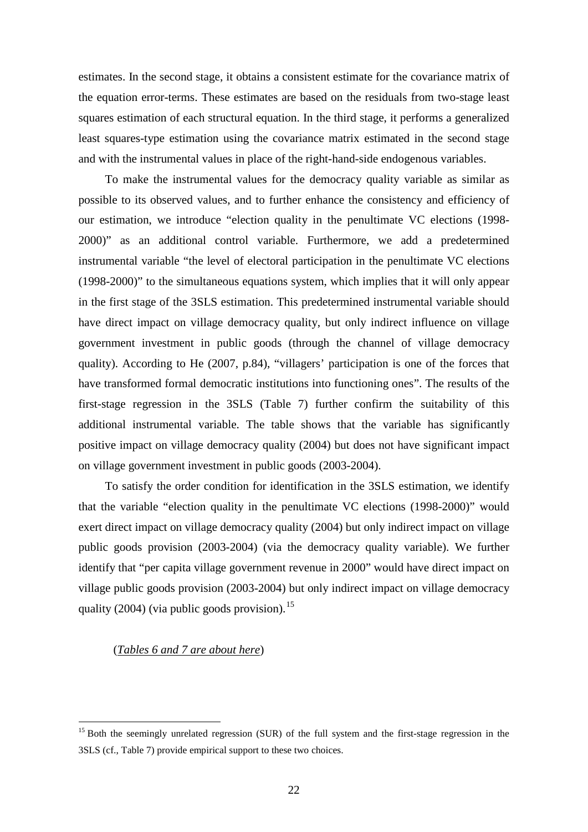estimates. In the second stage, it obtains a consistent estimate for the covariance matrix of the equation error-terms. These estimates are based on the residuals from two-stage least squares estimation of each structural equation. In the third stage, it performs a generalized least squares-type estimation using the covariance matrix estimated in the second stage and with the instrumental values in place of the right-hand-side endogenous variables.

To make the instrumental values for the democracy quality variable as similar as possible to its observed values, and to further enhance the consistency and efficiency of our estimation, we introduce "election quality in the penultimate VC elections (1998- 2000)" as an additional control variable. Furthermore, we add a predetermined instrumental variable "the level of electoral participation in the penultimate VC elections (1998-2000)" to the simultaneous equations system, which implies that it will only appear in the first stage of the 3SLS estimation. This predetermined instrumental variable should have direct impact on village democracy quality, but only indirect influence on village government investment in public goods (through the channel of village democracy quality). According to He (2007, p.84), "villagers' participation is one of the forces that have transformed formal democratic institutions into functioning ones". The results of the first-stage regression in the 3SLS (Table 7) further confirm the suitability of this additional instrumental variable. The table shows that the variable has significantly positive impact on village democracy quality (2004) but does not have significant impact on village government investment in public goods (2003-2004).

To satisfy the order condition for identification in the 3SLS estimation, we identify that the variable "election quality in the penultimate VC elections (1998-2000)" would exert direct impact on village democracy quality (2004) but only indirect impact on village public goods provision (2003-2004) (via the democracy quality variable). We further identify that "per capita village government revenue in 2000" would have direct impact on village public goods provision (2003-2004) but only indirect impact on village democracy quality (2004) (via public goods provision).<sup>[15](#page-22-0)</sup>

(*Tables 6 and 7 are about here*)

<span id="page-22-0"></span><sup>&</sup>lt;sup>15</sup> Both the seemingly unrelated regression (SUR) of the full system and the first-stage regression in the 3SLS (cf., Table 7) provide empirical support to these two choices.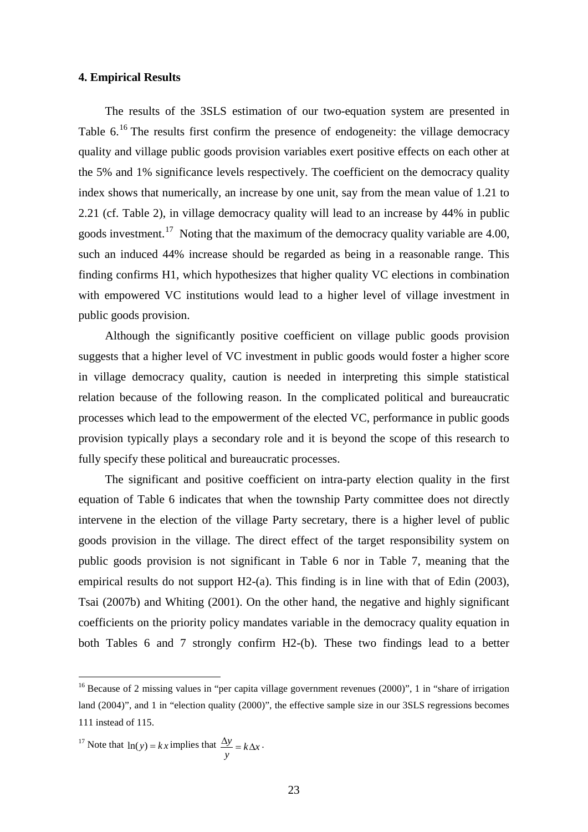### **4. Empirical Results**

The results of the 3SLS estimation of our two-equation system are presented in Table 6.<sup>[16](#page-23-0)</sup> The results first confirm the presence of endogeneity: the village democracy quality and village public goods provision variables exert positive effects on each other at the 5% and 1% significance levels respectively. The coefficient on the democracy quality index shows that numerically, an increase by one unit, say from the mean value of 1.21 to 2.21 (cf. Table 2), in village democracy quality will lead to an increase by 44% in public goods investment.<sup>[17](#page-23-1)</sup> Noting that the maximum of the democracy quality variable are 4.00, such an induced 44% increase should be regarded as being in a reasonable range. This finding confirms H1, which hypothesizes that higher quality VC elections in combination with empowered VC institutions would lead to a higher level of village investment in public goods provision.

Although the significantly positive coefficient on village public goods provision suggests that a higher level of VC investment in public goods would foster a higher score in village democracy quality, caution is needed in interpreting this simple statistical relation because of the following reason. In the complicated political and bureaucratic processes which lead to the empowerment of the elected VC, performance in public goods provision typically plays a secondary role and it is beyond the scope of this research to fully specify these political and bureaucratic processes.

The significant and positive coefficient on intra-party election quality in the first equation of Table 6 indicates that when the township Party committee does not directly intervene in the election of the village Party secretary, there is a higher level of public goods provision in the village. The direct effect of the target responsibility system on public goods provision is not significant in Table 6 nor in Table 7, meaning that the empirical results do not support H2-(a). This finding is in line with that of Edin (2003), Tsai (2007b) and Whiting (2001). On the other hand, the negative and highly significant coefficients on the priority policy mandates variable in the democracy quality equation in both Tables 6 and 7 strongly confirm H2-(b). These two findings lead to a better

<span id="page-23-1"></span><sup>17</sup> Note that 
$$
\ln(y) = kx
$$
 implies that  $\frac{\Delta y}{y} = k\Delta x$ .

<span id="page-23-0"></span><sup>&</sup>lt;sup>16</sup> Because of 2 missing values in "per capita village government revenues (2000)", 1 in "share of irrigation land (2004)", and 1 in "election quality (2000)", the effective sample size in our 3SLS regressions becomes 111 instead of 115.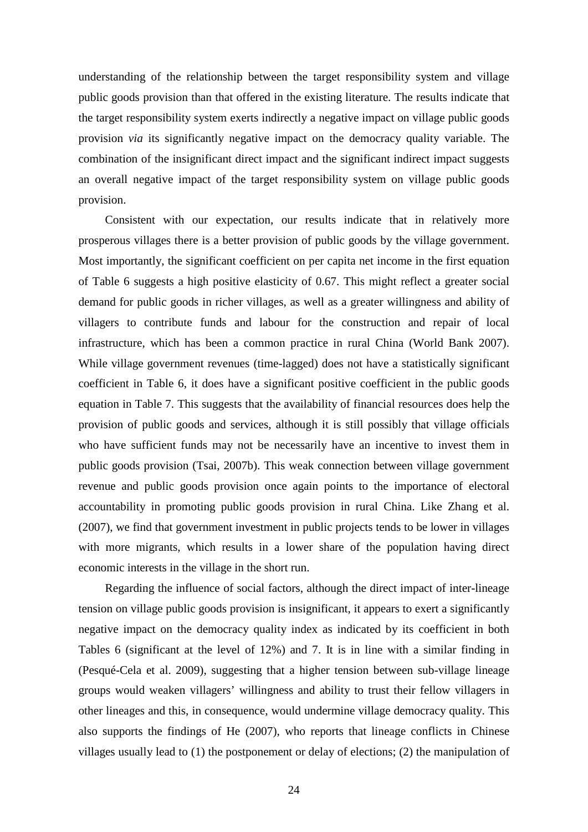understanding of the relationship between the target responsibility system and village public goods provision than that offered in the existing literature. The results indicate that the target responsibility system exerts indirectly a negative impact on village public goods provision *via* its significantly negative impact on the democracy quality variable. The combination of the insignificant direct impact and the significant indirect impact suggests an overall negative impact of the target responsibility system on village public goods provision.

Consistent with our expectation, our results indicate that in relatively more prosperous villages there is a better provision of public goods by the village government. Most importantly, the significant coefficient on per capita net income in the first equation of Table 6 suggests a high positive elasticity of 0.67. This might reflect a greater social demand for public goods in richer villages, as well as a greater willingness and ability of villagers to contribute funds and labour for the construction and repair of local infrastructure, which has been a common practice in rural China (World Bank 2007). While village government revenues (time-lagged) does not have a statistically significant coefficient in Table 6, it does have a significant positive coefficient in the public goods equation in Table 7. This suggests that the availability of financial resources does help the provision of public goods and services, although it is still possibly that village officials who have sufficient funds may not be necessarily have an incentive to invest them in public goods provision (Tsai, 2007b). This weak connection between village government revenue and public goods provision once again points to the importance of electoral accountability in promoting public goods provision in rural China. Like Zhang et al. (2007), we find that government investment in public projects tends to be lower in villages with more migrants, which results in a lower share of the population having direct economic interests in the village in the short run.

Regarding the influence of social factors, although the direct impact of inter-lineage tension on village public goods provision is insignificant, it appears to exert a significantly negative impact on the democracy quality index as indicated by its coefficient in both Tables 6 (significant at the level of 12%) and 7. It is in line with a similar finding in (Pesqué-Cela et al. 2009), suggesting that a higher tension between sub-village lineage groups would weaken villagers' willingness and ability to trust their fellow villagers in other lineages and this, in consequence, would undermine village democracy quality. This also supports the findings of He (2007), who reports that lineage conflicts in Chinese villages usually lead to (1) the postponement or delay of elections; (2) the manipulation of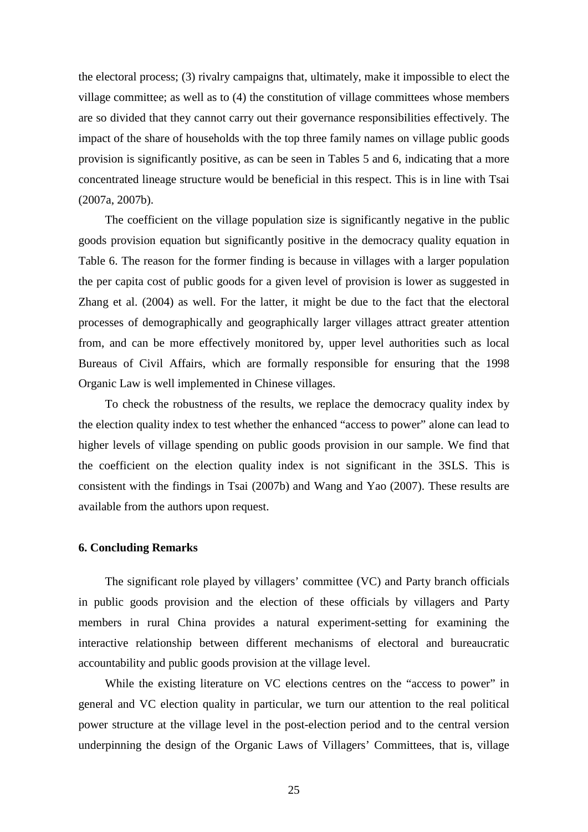the electoral process; (3) rivalry campaigns that, ultimately, make it impossible to elect the village committee; as well as to (4) the constitution of village committees whose members are so divided that they cannot carry out their governance responsibilities effectively. The impact of the share of households with the top three family names on village public goods provision is significantly positive, as can be seen in Tables 5 and 6, indicating that a more concentrated lineage structure would be beneficial in this respect. This is in line with Tsai (2007a, 2007b).

The coefficient on the village population size is significantly negative in the public goods provision equation but significantly positive in the democracy quality equation in Table 6. The reason for the former finding is because in villages with a larger population the per capita cost of public goods for a given level of provision is lower as suggested in Zhang et al. (2004) as well. For the latter, it might be due to the fact that the electoral processes of demographically and geographically larger villages attract greater attention from, and can be more effectively monitored by, upper level authorities such as local Bureaus of Civil Affairs, which are formally responsible for ensuring that the 1998 Organic Law is well implemented in Chinese villages.

To check the robustness of the results, we replace the democracy quality index by the election quality index to test whether the enhanced "access to power" alone can lead to higher levels of village spending on public goods provision in our sample. We find that the coefficient on the election quality index is not significant in the 3SLS. This is consistent with the findings in Tsai (2007b) and Wang and Yao (2007). These results are available from the authors upon request.

## **6. Concluding Remarks**

The significant role played by villagers' committee (VC) and Party branch officials in public goods provision and the election of these officials by villagers and Party members in rural China provides a natural experiment-setting for examining the interactive relationship between different mechanisms of electoral and bureaucratic accountability and public goods provision at the village level.

While the existing literature on VC elections centres on the "access to power" in general and VC election quality in particular, we turn our attention to the real political power structure at the village level in the post-election period and to the central version underpinning the design of the Organic Laws of Villagers' Committees, that is, village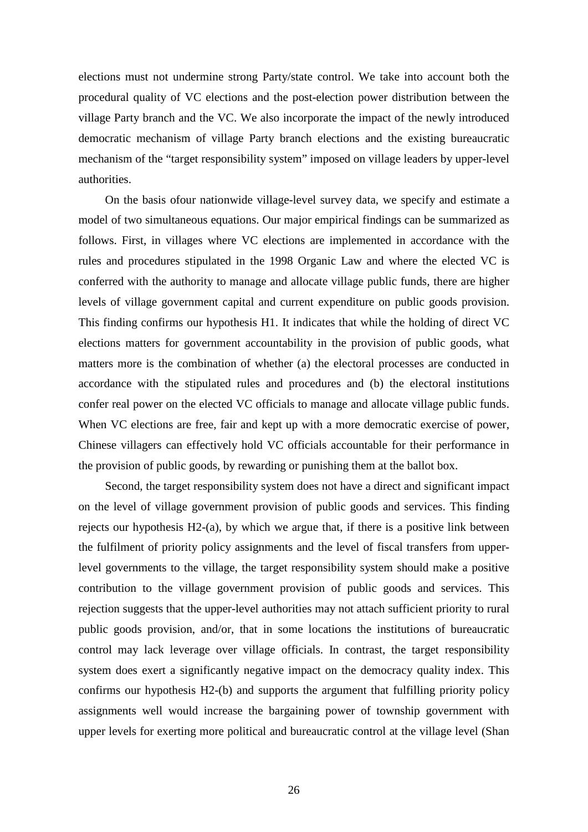elections must not undermine strong Party/state control. We take into account both the procedural quality of VC elections and the post-election power distribution between the village Party branch and the VC. We also incorporate the impact of the newly introduced democratic mechanism of village Party branch elections and the existing bureaucratic mechanism of the "target responsibility system" imposed on village leaders by upper-level authorities.

On the basis ofour nationwide village-level survey data, we specify and estimate a model of two simultaneous equations. Our major empirical findings can be summarized as follows. First, in villages where VC elections are implemented in accordance with the rules and procedures stipulated in the 1998 Organic Law and where the elected VC is conferred with the authority to manage and allocate village public funds, there are higher levels of village government capital and current expenditure on public goods provision. This finding confirms our hypothesis H1. It indicates that while the holding of direct VC elections matters for government accountability in the provision of public goods, what matters more is the combination of whether (a) the electoral processes are conducted in accordance with the stipulated rules and procedures and (b) the electoral institutions confer real power on the elected VC officials to manage and allocate village public funds. When VC elections are free, fair and kept up with a more democratic exercise of power, Chinese villagers can effectively hold VC officials accountable for their performance in the provision of public goods, by rewarding or punishing them at the ballot box.

Second, the target responsibility system does not have a direct and significant impact on the level of village government provision of public goods and services. This finding rejects our hypothesis  $H_2(a)$ , by which we argue that, if there is a positive link between the fulfilment of priority policy assignments and the level of fiscal transfers from upperlevel governments to the village, the target responsibility system should make a positive contribution to the village government provision of public goods and services. This rejection suggests that the upper-level authorities may not attach sufficient priority to rural public goods provision, and/or, that in some locations the institutions of bureaucratic control may lack leverage over village officials. In contrast, the target responsibility system does exert a significantly negative impact on the democracy quality index. This confirms our hypothesis H2-(b) and supports the argument that fulfilling priority policy assignments well would increase the bargaining power of township government with upper levels for exerting more political and bureaucratic control at the village level (Shan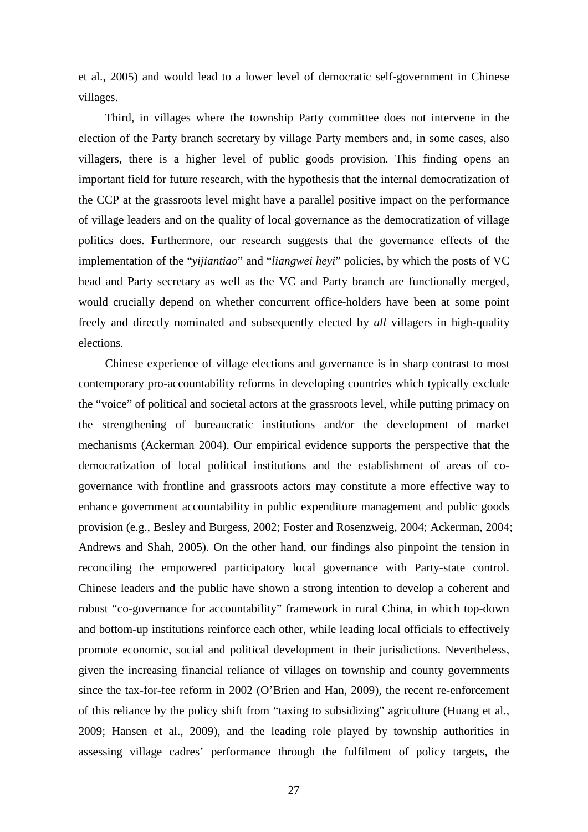et al., 2005) and would lead to a lower level of democratic self-government in Chinese villages.

Third, in villages where the township Party committee does not intervene in the election of the Party branch secretary by village Party members and, in some cases, also villagers, there is a higher level of public goods provision. This finding opens an important field for future research, with the hypothesis that the internal democratization of the CCP at the grassroots level might have a parallel positive impact on the performance of village leaders and on the quality of local governance as the democratization of village politics does. Furthermore, our research suggests that the governance effects of the implementation of the "*yijiantiao*" and "*liangwei heyi*" policies, by which the posts of VC head and Party secretary as well as the VC and Party branch are functionally merged, would crucially depend on whether concurrent office-holders have been at some point freely and directly nominated and subsequently elected by *all* villagers in high-quality elections.

Chinese experience of village elections and governance is in sharp contrast to most contemporary pro-accountability reforms in developing countries which typically exclude the "voice" of political and societal actors at the grassroots level, while putting primacy on the strengthening of bureaucratic institutions and/or the development of market mechanisms (Ackerman 2004). Our empirical evidence supports the perspective that the democratization of local political institutions and the establishment of areas of cogovernance with frontline and grassroots actors may constitute a more effective way to enhance government accountability in public expenditure management and public goods provision (e.g., Besley and Burgess, 2002; Foster and Rosenzweig, 2004; Ackerman, 2004; Andrews and Shah, 2005). On the other hand, our findings also pinpoint the tension in reconciling the empowered participatory local governance with Party-state control. Chinese leaders and the public have shown a strong intention to develop a coherent and robust "co-governance for accountability" framework in rural China, in which top-down and bottom-up institutions reinforce each other, while leading local officials to effectively promote economic, social and political development in their jurisdictions. Nevertheless, given the increasing financial reliance of villages on township and county governments since the tax-for-fee reform in 2002 (O'Brien and Han, 2009), the recent re-enforcement of this reliance by the policy shift from "taxing to subsidizing" agriculture (Huang et al., 2009; Hansen et al., 2009), and the leading role played by township authorities in assessing village cadres' performance through the fulfilment of policy targets, the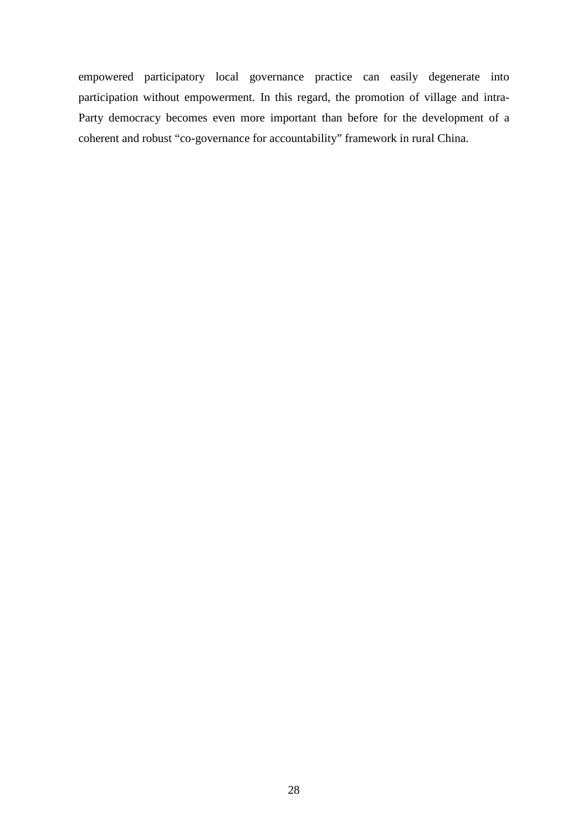empowered participatory local governance practice can easily degenerate into participation without empowerment. In this regard, the promotion of village and intra-Party democracy becomes even more important than before for the development of a coherent and robust "co-governance for accountability" framework in rural China.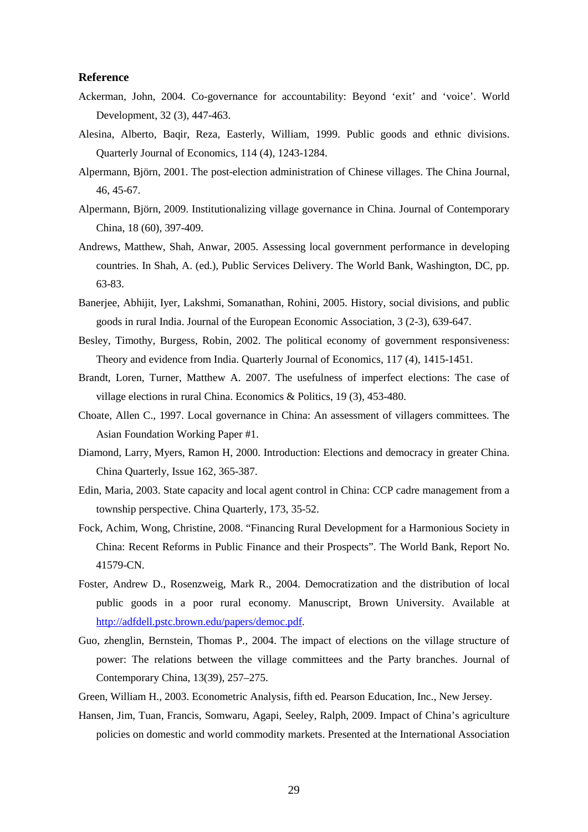#### **Reference**

- Ackerman, John, 2004. Co-governance for accountability: Beyond 'exit' and 'voice'. World Development, 32 (3), 447-463.
- Alesina, Alberto, Baqir, Reza, Easterly, William, 1999. Public goods and ethnic divisions. Quarterly Journal of Economics, 114 (4), 1243-1284.
- Alpermann, Björn, 2001. The post-election administration of Chinese villages. The China Journal, 46, 45-67.
- Alpermann, Björn, 2009. Institutionalizing village governance in China. Journal of Contemporary China, 18 (60), 397-409.
- Andrews, Matthew, Shah, Anwar, 2005. Assessing local government performance in developing countries. In Shah, A. (ed.), Public Services Delivery. The World Bank, Washington, DC, pp. 63-83.
- Banerjee, Abhijit, Iyer, Lakshmi, Somanathan, Rohini, 2005. History, social divisions, and public goods in rural India. Journal of the European Economic Association, 3 (2-3), 639-647.
- Besley, Timothy, Burgess, Robin, 2002. The political economy of government responsiveness: Theory and evidence from India. Quarterly Journal of Economics, 117 (4), 1415-1451.
- Brandt, Loren, Turner, Matthew A. 2007. The usefulness of imperfect elections: The case of village elections in rural China. Economics & Politics, 19 (3), 453-480.
- Choate, Allen C., 1997. Local governance in China: An assessment of villagers committees. The Asian Foundation Working Paper #1.
- Diamond, Larry, Myers, Ramon H, 2000. Introduction: Elections and democracy in greater China. China Quarterly, Issue 162, 365-387.
- Edin, Maria, 2003. State capacity and local agent control in China: CCP cadre management from a township perspective. China Quarterly, 173, 35-52.
- Fock, Achim, Wong, Christine, 2008. "Financing Rural Development for a Harmonious Society in China: Recent Reforms in Public Finance and their Prospects". The World Bank, Report No. 41579-CN.
- Foster, Andrew D., Rosenzweig, Mark R., 2004. Democratization and the distribution of local public goods in a poor rural economy. Manuscript, Brown University. Available at [http://adfdell.pstc.brown.edu/papers/democ.pdf.](http://adfdell.pstc.brown.edu/papers/democ.pdf)
- Guo, zhenglin, Bernstein, Thomas P., 2004. The impact of elections on the village structure of power: The relations between the village committees and the Party branches. Journal of Contemporary China, 13(39), 257–275.
- Green, William H., 2003. Econometric Analysis, fifth ed. Pearson Education, Inc., New Jersey.
- Hansen, Jim, Tuan, Francis, Somwaru, Agapi, Seeley, Ralph, 2009. Impact of China's agriculture policies on domestic and world commodity markets. Presented at the International Association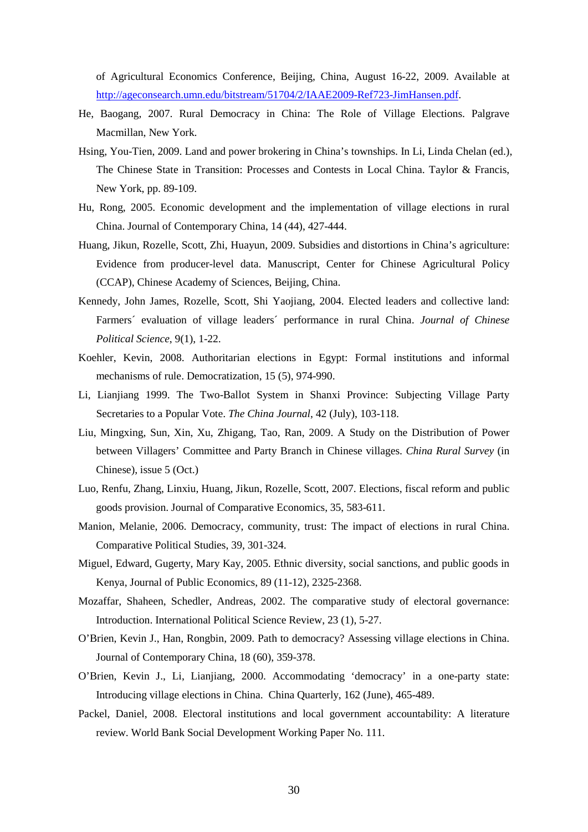of Agricultural Economics Conference, Beijing, China, August 16-22, 2009. Available at [http://ageconsearch.umn.edu/bitstream/51704/2/IAAE2009-Ref723-JimHansen.pdf.](http://ageconsearch.umn.edu/bitstream/51704/2/IAAE2009-Ref723-JimHansen.pdf)

- He, Baogang, 2007. Rural Democracy in China: The Role of Village Elections. Palgrave Macmillan, New York.
- Hsing, You-Tien, 2009. Land and power brokering in China's townships. In Li, Linda Chelan (ed.), The Chinese State in Transition: Processes and Contests in Local China. Taylor & Francis, New York, pp. 89-109.
- Hu, Rong, 2005. Economic development and the implementation of village elections in rural China. Journal of Contemporary China, 14 (44), 427-444.
- Huang, Jikun, Rozelle, Scott, Zhi, Huayun, 2009. Subsidies and distortions in China's agriculture: Evidence from producer-level data. Manuscript, Center for Chinese Agricultural Policy (CCAP), Chinese Academy of Sciences, Beijing, China.
- Kennedy, John James, Rozelle, Scott, Shi Yaojiang, 2004. Elected leaders and collective land: Farmers´ evaluation of village leaders´ performance in rural China. *Journal of Chinese Political Science*, 9(1), 1-22.
- Koehler, Kevin, 2008. Authoritarian elections in Egypt: Formal institutions and informal mechanisms of rule. Democratization, 15 (5), 974-990.
- Li, Lianjiang 1999. The Two-Ballot System in Shanxi Province: Subjecting Village Party Secretaries to a Popular Vote. *The China Journal*, 42 (July), 103-118.
- Liu, Mingxing, Sun, Xin, Xu, Zhigang, Tao, Ran, 2009. A Study on the Distribution of Power between Villagers' Committee and Party Branch in Chinese villages. *China Rural Survey* (in Chinese), issue 5 (Oct.)
- Luo, Renfu, Zhang, Linxiu, Huang, Jikun, Rozelle, Scott, 2007. Elections, fiscal reform and public goods provision. Journal of Comparative Economics, 35, 583-611.
- Manion, Melanie, 2006. Democracy, community, trust: The impact of elections in rural China. Comparative Political Studies, 39, 301-324.
- Miguel, Edward, Gugerty, Mary Kay, 2005. Ethnic diversity, social sanctions, and public goods in Kenya, Journal of Public Economics, 89 (11-12), 2325-2368.
- Mozaffar, Shaheen, Schedler, Andreas, 2002. The comparative study of electoral governance: Introduction. International Political Science Review, 23 (1), 5-27.
- O'Brien, Kevin J., Han, Rongbin, 2009. Path to democracy? Assessing village elections in China. Journal of Contemporary China, 18 (60), 359-378.
- O'Brien, Kevin J., Li, Lianjiang, 2000. Accommodating 'democracy' in a one-party state: Introducing village elections in China. China Quarterly, 162 (June), 465-489.
- Packel, Daniel, 2008. Electoral institutions and local government accountability: A literature review. World Bank Social Development Working Paper No. 111.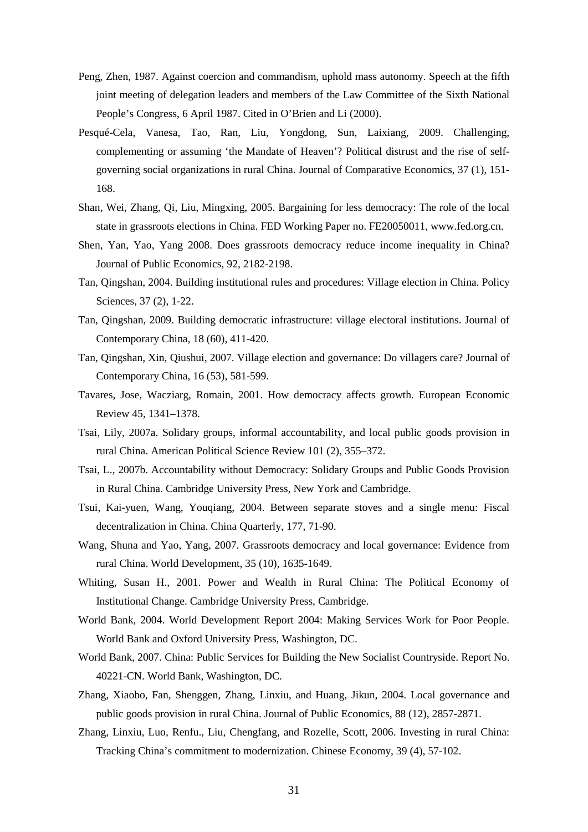- Peng, Zhen, 1987. Against coercion and commandism, uphold mass autonomy. Speech at the fifth joint meeting of delegation leaders and members of the Law Committee of the Sixth National People's Congress, 6 April 1987. Cited in O'Brien and Li (2000).
- Pesqué-Cela, Vanesa, Tao, Ran, Liu, Yongdong, Sun, Laixiang, 2009. Challenging, complementing or assuming 'the Mandate of Heaven'? Political distrust and the rise of selfgoverning social organizations in rural China. Journal of Comparative Economics, 37 (1), 151- 168.
- Shan, Wei, Zhang, Qi, Liu, Mingxing, 2005. Bargaining for less democracy: The role of the local state in grassroots elections in China. FED Working Paper no. FE20050011, www.fed.org.cn.
- Shen, Yan, Yao, Yang 2008. Does grassroots democracy reduce income inequality in China? Journal of Public Economics, 92, 2182-2198.
- Tan, Qingshan, 2004. Building institutional rules and procedures: Village election in China. Policy Sciences, 37 (2), 1-22.
- Tan, Qingshan, 2009. Building democratic infrastructure: village electoral institutions. Journal of Contemporary China, 18 (60), 411-420.
- Tan, Qingshan, Xin, Qiushui, 2007. Village election and governance: Do villagers care? Journal of Contemporary China, 16 (53), 581-599.
- Tavares, Jose, Wacziarg, Romain, 2001. How democracy affects growth. European Economic Review 45, 1341–1378.
- Tsai, Lily, 2007a. Solidary groups, informal accountability, and local public goods provision in rural China. American Political Science Review 101 (2), 355–372.
- Tsai, L., 2007b. Accountability without Democracy: Solidary Groups and Public Goods Provision in Rural China. Cambridge University Press, New York and Cambridge.
- Tsui, Kai-yuen, Wang, Youqiang, 2004. Between separate stoves and a single menu: Fiscal decentralization in China. China Quarterly, 177, 71-90.
- Wang, Shuna and Yao, Yang, 2007. Grassroots democracy and local governance: Evidence from rural China. World Development, 35 (10), 1635-1649.
- Whiting, Susan H., 2001. Power and Wealth in Rural China: The Political Economy of Institutional Change. Cambridge University Press, Cambridge.
- World Bank, 2004. World Development Report 2004: Making Services Work for Poor People. World Bank and Oxford University Press, Washington, DC.
- World Bank, 2007. China: Public Services for Building the New Socialist Countryside. Report No. 40221-CN. World Bank, Washington, DC.
- Zhang, Xiaobo, Fan, Shenggen, Zhang, Linxiu, and Huang, Jikun, 2004. Local governance and public goods provision in rural China. Journal of Public Economics, 88 (12), 2857-2871.
- Zhang, Linxiu, Luo, Renfu., Liu, Chengfang, and Rozelle, Scott, 2006. Investing in rural China: Tracking China's commitment to modernization. Chinese Economy, 39 (4), 57-102.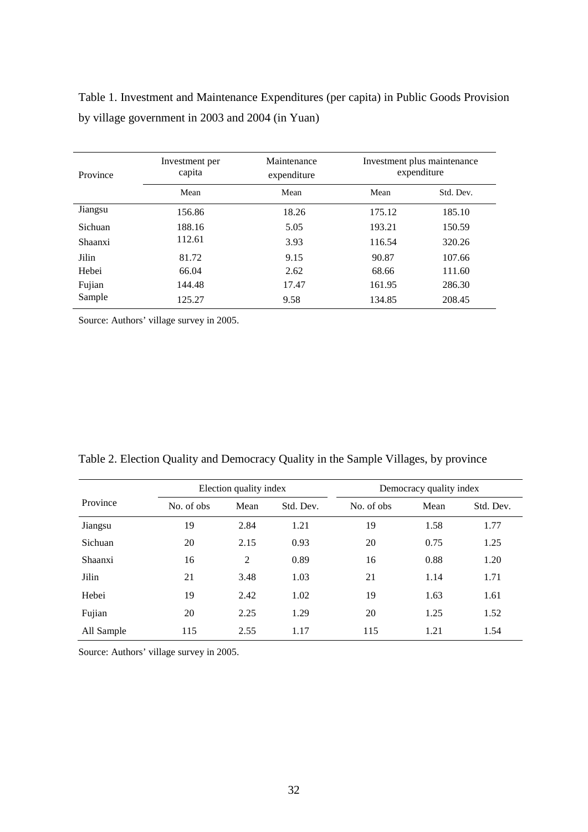| Province | Investment per<br>capita | Maintenance<br>expenditure | Investment plus maintenance<br>expenditure |           |  |
|----------|--------------------------|----------------------------|--------------------------------------------|-----------|--|
|          | Mean                     | Mean                       | Mean                                       | Std. Dev. |  |
| Jiangsu  | 156.86                   | 18.26                      | 175.12                                     | 185.10    |  |
| Sichuan  | 188.16                   | 5.05                       | 193.21                                     | 150.59    |  |
| Shaanxi  | 112.61                   | 3.93                       | 116.54                                     | 320.26    |  |
| Jilin    | 81.72                    | 9.15                       | 90.87                                      | 107.66    |  |
| Hebei    | 66.04                    | 2.62                       | 68.66                                      | 111.60    |  |
| Fujian   | 144.48                   | 17.47                      | 161.95                                     | 286.30    |  |
| Sample   | 125.27                   | 9.58                       | 134.85                                     | 208.45    |  |

Table 1. Investment and Maintenance Expenditures (per capita) in Public Goods Provision by village government in 2003 and 2004 (in Yuan)

Source: Authors' village survey in 2005.

|            | Election quality index |      | Democracy quality index |             |      |           |
|------------|------------------------|------|-------------------------|-------------|------|-----------|
| Province   | No. of obs             | Mean | Std. Dev.               | No. of obs. | Mean | Std. Dev. |
| Jiangsu    | 19                     | 2.84 | 1.21                    | 19          | 1.58 | 1.77      |
| Sichuan    | 20                     | 2.15 | 0.93                    | 20          | 0.75 | 1.25      |
| Shaanxi    | 16                     | 2    | 0.89                    | 16          | 0.88 | 1.20      |
| Jilin      | 21                     | 3.48 | 1.03                    | 21          | 1.14 | 1.71      |
| Hebei      | 19                     | 2.42 | 1.02                    | 19          | 1.63 | 1.61      |
| Fujian     | 20                     | 2.25 | 1.29                    | 20          | 1.25 | 1.52      |
| All Sample | 115                    | 2.55 | 1.17                    | 115         | 1.21 | 1.54      |

Source: Authors' village survey in 2005.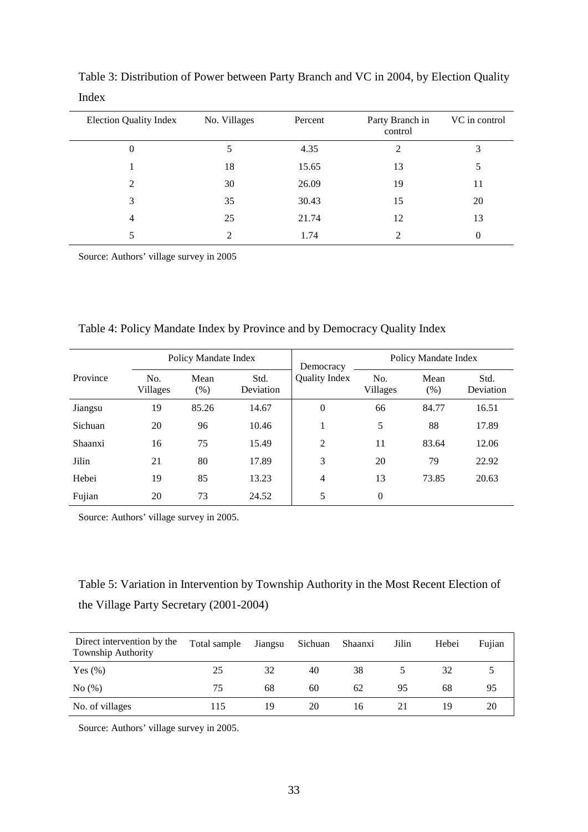| <b>Election Quality Index</b> | No. Villages   | Percent | Party Branch in<br>control | VC in control |
|-------------------------------|----------------|---------|----------------------------|---------------|
| $\boldsymbol{0}$              | 5              | 4.35    | 2                          | 3             |
|                               | 18             | 15.65   | 13                         | 5             |
| 2                             | 30             | 26.09   | 19                         | 11            |
| 3                             | 35             | 30.43   | 15                         | 20            |
| 4                             | 25             | 21.74   | 12                         | 13            |
| 5                             | $\mathfrak{D}$ | 1.74    | ↑                          | $\Omega$      |

Table 3: Distribution of Power between Party Branch and VC in 2004, by Election Quality Index

Source: Authors' village survey in 2005

| Table 4: Policy Mandate Index by Province and by Democracy Quality Index |  |  |
|--------------------------------------------------------------------------|--|--|
|                                                                          |  |  |

|          | Policy Mandate Index |              |                   | Democracy      | Policy Mandate Index |              |                   |
|----------|----------------------|--------------|-------------------|----------------|----------------------|--------------|-------------------|
| Province | No.<br>Villages      | Mean<br>(% ) | Std.<br>Deviation | Quality Index  | No.<br>Villages      | Mean<br>(% ) | Std.<br>Deviation |
| Jiangsu  | 19                   | 85.26        | 14.67             | $\overline{0}$ | 66                   | 84.77        | 16.51             |
| Sichuan  | 20                   | 96           | 10.46             | 1              | 5                    | 88           | 17.89             |
| Shaanxi  | 16                   | 75           | 15.49             | $\overline{2}$ | 11                   | 83.64        | 12.06             |
| Jilin    | 21                   | 80           | 17.89             | 3              | 20                   | 79           | 22.92             |
| Hebei    | 19                   | 85           | 13.23             | $\overline{4}$ | 13                   | 73.85        | 20.63             |
| Fujian   | 20                   | 73           | 24.52             | 5              | $\theta$             |              |                   |

Source: Authors' village survey in 2005.

## Table 5: Variation in Intervention by Township Authority in the Most Recent Election of the Village Party Secretary (2001-2004)

| Direct intervention by the<br>Township Authority | Total sample | Jiangsu | Sichuan | Shaanxi | Jilin | Hebei | Fujian |
|--------------------------------------------------|--------------|---------|---------|---------|-------|-------|--------|
| Yes $(\%)$                                       | 25           | 32      | 40      | 38      |       | 32    |        |
| No(%)                                            | 75           | 68      | 60      | 62      | 95    | 68    | 95     |
| No. of villages                                  | 115          | 19      | 20      | 16      |       | 19    | 20     |

Source: Authors' village survey in 2005.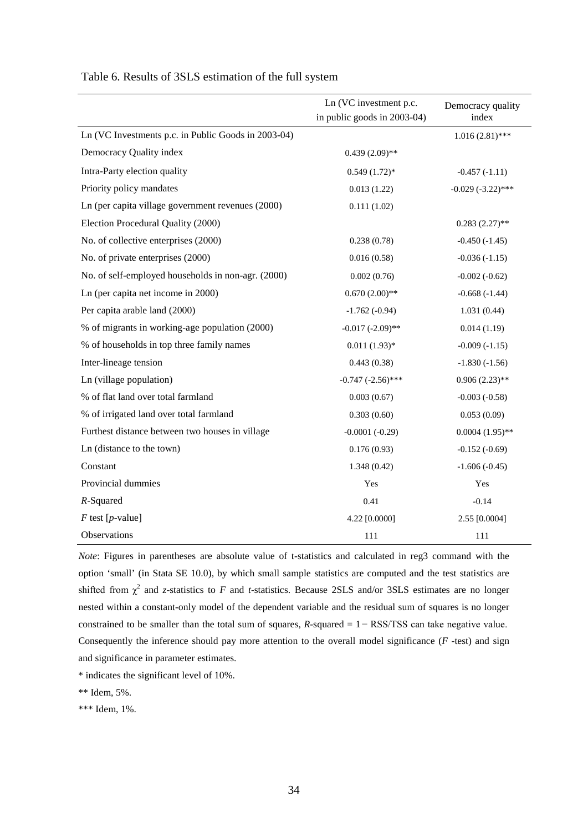|                                                     | Ln (VC investment p.c.      | Democracy quality   |
|-----------------------------------------------------|-----------------------------|---------------------|
|                                                     | in public goods in 2003-04) | index               |
| Ln (VC Investments p.c. in Public Goods in 2003-04) |                             | $1.016(2.81)$ ***   |
| Democracy Quality index                             | $0.439(2.09)$ **            |                     |
| Intra-Party election quality                        | $0.549(1.72)*$              | $-0.457(-1.11)$     |
| Priority policy mandates                            | 0.013(1.22)                 | $-0.029(-3.22)$ *** |
| Ln (per capita village government revenues (2000)   | 0.111(1.02)                 |                     |
| Election Procedural Quality (2000)                  |                             | $0.283(2.27)$ **    |
| No. of collective enterprises (2000)                | 0.238(0.78)                 | $-0.450(-1.45)$     |
| No. of private enterprises (2000)                   | 0.016(0.58)                 | $-0.036(-1.15)$     |
| No. of self-employed households in non-agr. (2000)  | 0.002(0.76)                 | $-0.002(-0.62)$     |
| Ln (per capita net income in 2000)                  | $0.670(2.00)**$             | $-0.668(-1.44)$     |
| Per capita arable land (2000)                       | $-1.762(-0.94)$             | 1.031(0.44)         |
| % of migrants in working-age population (2000)      | $-0.017 (-2.09)$ **         | 0.014(1.19)         |
| % of households in top three family names           | $0.011(1.93)*$              | $-0.009(-1.15)$     |
| Inter-lineage tension                               | 0.443(0.38)                 | $-1.830(-1.56)$     |
| Ln (village population)                             | $-0.747$ $(-2.56)$ ***      | $0.906(2.23)$ **    |
| % of flat land over total farmland                  | 0.003(0.67)                 | $-0.003(-0.58)$     |
| % of irrigated land over total farmland             | 0.303(0.60)                 | 0.053(0.09)         |
| Furthest distance between two houses in village     | $-0.0001(-0.29)$            | $0.0004(1.95)$ **   |
| Ln (distance to the town)                           | 0.176(0.93)                 | $-0.152(-0.69)$     |
| Constant                                            | 1.348(0.42)                 | $-1.606(-0.45)$     |
| Provincial dummies                                  | Yes                         | Yes                 |
| $R$ -Squared                                        | 0.41                        | $-0.14$             |
| $F$ test [p-value]                                  | 4.22 [0.0000]               | 2.55 [0.0004]       |
| Observations                                        | 111                         | 111                 |

#### Table 6. Results of 3SLS estimation of the full system

*Note*: Figures in parentheses are absolute value of t-statistics and calculated in reg3 command with the option 'small' (in Stata SE 10.0), by which small sample statistics are computed and the test statistics are shifted from  $\chi^2$  and *z*-statistics to *F* and *t*-statistics. Because 2SLS and/or 3SLS estimates are no longer nested within a constant-only model of the dependent variable and the residual sum of squares is no longer constrained to be smaller than the total sum of squares,  $R$ -squared =  $1 - \text{RSS}/\text{TSS}$  can take negative value. Consequently the inference should pay more attention to the overall model significance (*F* -test) and sign and significance in parameter estimates.

\* indicates the significant level of 10%.

\*\* Idem, 5%.

\*\*\* Idem, 1%.